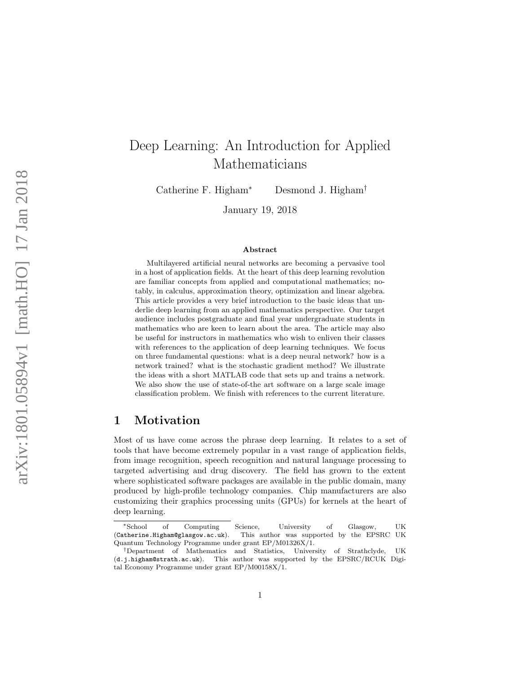# Deep Learning: An Introduction for Applied Mathematicians

Catherine F. Higham

<sup>∗</sup> Desmond J. Higham †

January 19, 2018

#### Abstract

Multilayered artificial neural networks are becoming a pervasive tool in a host of application fields. At the heart of this deep learning revolution are familiar concepts from applied and computational mathematics; notably, in calculus, approximation theory, optimization and linear algebra. This article provides a very brief introduction to the basic ideas that underlie deep learning from an applied mathematics perspective. Our target audience includes postgraduate and final year undergraduate students in mathematics who are keen to learn about the area. The article may also be useful for instructors in mathematics who wish to enliven their classes with references to the application of deep learning techniques. We focus on three fundamental questions: what is a deep neural network? how is a network trained? what is the stochastic gradient method? We illustrate the ideas with a short MATLAB code that sets up and trains a network. We also show the use of state-of-the art software on a large scale image classification problem. We finish with references to the current literature.

# 1 Motivation

Most of us have come across the phrase deep learning. It relates to a set of tools that have become extremely popular in a vast range of application fields, from image recognition, speech recognition and natural language processing to targeted advertising and drug discovery. The field has grown to the extent where sophisticated software packages are available in the public domain, many produced by high-profile technology companies. Chip manufacturers are also customizing their graphics processing units (GPUs) for kernels at the heart of deep learning.

<sup>∗</sup>School of Computing Science, University of Glasgow, UK (Catherine.Higham@glasgow.ac.uk). This author was supported by the EPSRC Quantum Technology Programme under grant EP/M01326X/1.

<sup>†</sup>Department of Mathematics and Statistics, University of Strathclyde, UK (d.j.higham@strath.ac.uk). This author was supported by the EPSRC/RCUK Digital Economy Programme under grant EP/M00158X/1.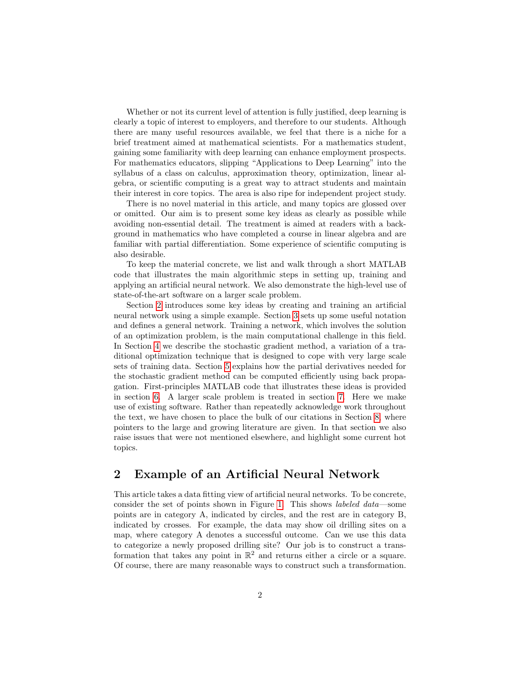Whether or not its current level of attention is fully justified, deep learning is clearly a topic of interest to employers, and therefore to our students. Although there are many useful resources available, we feel that there is a niche for a brief treatment aimed at mathematical scientists. For a mathematics student, gaining some familiarity with deep learning can enhance employment prospects. For mathematics educators, slipping "Applications to Deep Learning" into the syllabus of a class on calculus, approximation theory, optimization, linear algebra, or scientific computing is a great way to attract students and maintain their interest in core topics. The area is also ripe for independent project study.

There is no novel material in this article, and many topics are glossed over or omitted. Our aim is to present some key ideas as clearly as possible while avoiding non-essential detail. The treatment is aimed at readers with a background in mathematics who have completed a course in linear algebra and are familiar with partial differentiation. Some experience of scientific computing is also desirable.

To keep the material concrete, we list and walk through a short MATLAB code that illustrates the main algorithmic steps in setting up, training and applying an artificial neural network. We also demonstrate the high-level use of state-of-the-art software on a larger scale problem.

Section [2](#page-1-0) introduces some key ideas by creating and training an artificial neural network using a simple example. Section [3](#page-6-0) sets up some useful notation and defines a general network. Training a network, which involves the solution of an optimization problem, is the main computational challenge in this field. In Section [4](#page-8-0) we describe the stochastic gradient method, a variation of a traditional optimization technique that is designed to cope with very large scale sets of training data. Section [5](#page-10-0) explains how the partial derivatives needed for the stochastic gradient method can be computed efficiently using back propagation. First-principles MATLAB code that illustrates these ideas is provided in section [6.](#page-15-0) A larger scale problem is treated in section [7.](#page-19-0) Here we make use of existing software. Rather than repeatedly acknowledge work throughout the text, we have chosen to place the bulk of our citations in Section [8,](#page-30-0) where pointers to the large and growing literature are given. In that section we also raise issues that were not mentioned elsewhere, and highlight some current hot topics.

# <span id="page-1-0"></span>2 Example of an Artificial Neural Network

This article takes a data fitting view of artificial neural networks. To be concrete, consider the set of points shown in Figure [1.](#page-2-0) This shows *labeled data*—some points are in category A, indicated by circles, and the rest are in category B, indicated by crosses. For example, the data may show oil drilling sites on a map, where category A denotes a successful outcome. Can we use this data to categorize a newly proposed drilling site? Our job is to construct a transformation that takes any point in  $\mathbb{R}^2$  and returns either a circle or a square. Of course, there are many reasonable ways to construct such a transformation.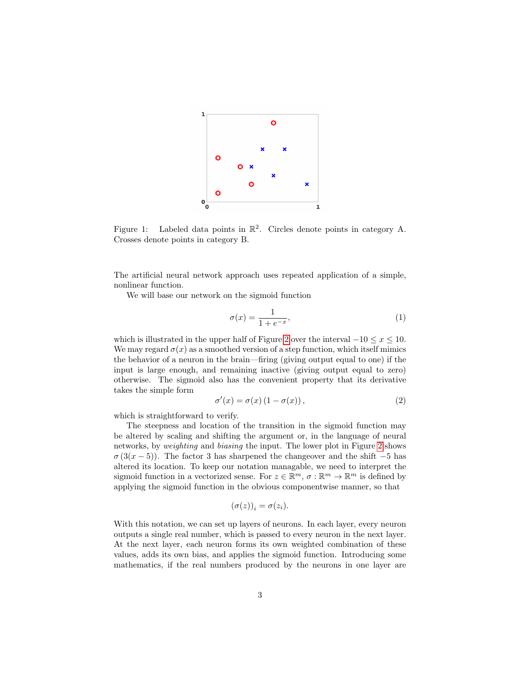

<span id="page-2-0"></span>Figure 1: Labeled data points in  $\mathbb{R}^2$ . Circles denote points in category A. Crosses denote points in category B.

The artificial neural network approach uses repeated application of a simple, nonlinear function.

We will base our network on the sigmoid function

<span id="page-2-1"></span>
$$
\sigma(x) = \frac{1}{1 + e^{-x}},\tag{1}
$$

which is illustrated in the upper half of Figure [2](#page-3-0) over the interval  $-10 \leq x \leq 10$ . We may regard  $\sigma(x)$  as a smoothed version of a step function, which itself mimics the behavior of a neuron in the brain—firing (giving output equal to one) if the input is large enough, and remaining inactive (giving output equal to zero) otherwise. The sigmoid also has the convenient property that its derivative takes the simple form

<span id="page-2-2"></span>
$$
\sigma'(x) = \sigma(x) \left(1 - \sigma(x)\right),\tag{2}
$$

which is straightforward to verify.

The steepness and location of the transition in the sigmoid function may be altered by scaling and shifting the argument or, in the language of neural networks, by weighting and biasing the input. The lower plot in Figure [2](#page-3-0) shows  $\sigma(3(x-5))$ . The factor 3 has sharpened the changeover and the shift −5 has altered its location. To keep our notation managable, we need to interpret the sigmoid function in a vectorized sense. For  $z \in \mathbb{R}^m$ ,  $\sigma : \mathbb{R}^m \to \mathbb{R}^m$  is defined by applying the sigmoid function in the obvious componentwise manner, so that

$$
(\sigma(z))_i = \sigma(z_i).
$$

With this notation, we can set up layers of neurons. In each layer, every neuron outputs a single real number, which is passed to every neuron in the next layer. At the next layer, each neuron forms its own weighted combination of these values, adds its own bias, and applies the sigmoid function. Introducing some mathematics, if the real numbers produced by the neurons in one layer are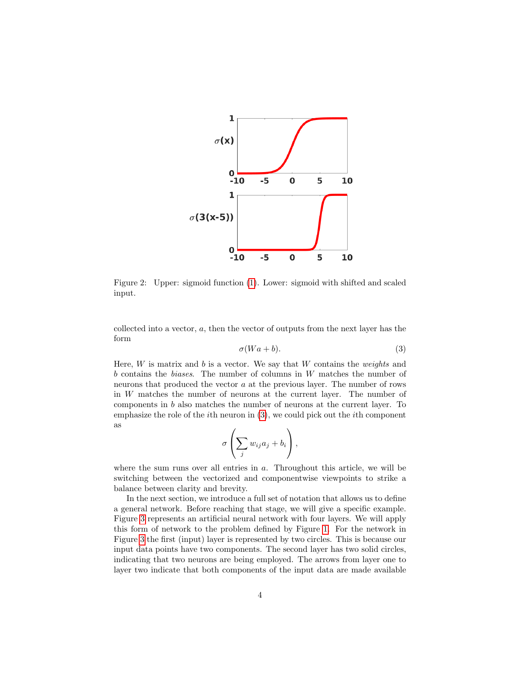

<span id="page-3-0"></span>Figure 2: Upper: sigmoid function [\(1\)](#page-2-1). Lower: sigmoid with shifted and scaled input.

collected into a vector, a, then the vector of outputs from the next layer has the form

<span id="page-3-1"></span>
$$
\sigma(Wa+b). \tag{3}
$$

Here,  $W$  is matrix and  $b$  is a vector. We say that  $W$  contains the *weights* and  $b$  contains the *biases*. The number of columns in  $W$  matches the number of neurons that produced the vector a at the previous layer. The number of rows in W matches the number of neurons at the current layer. The number of components in b also matches the number of neurons at the current layer. To emphasize the role of the *i*th neuron in  $(3)$ , we could pick out the *i*th component as

$$
\sigma\left(\sum_j w_{ij}a_j+b_i\right),\,
$$

where the sum runs over all entries in  $a$ . Throughout this article, we will be switching between the vectorized and componentwise viewpoints to strike a balance between clarity and brevity.

In the next section, we introduce a full set of notation that allows us to define a general network. Before reaching that stage, we will give a specific example. Figure [3](#page-4-0) represents an artificial neural network with four layers. We will apply this form of network to the problem defined by Figure [1.](#page-2-0) For the network in Figure [3](#page-4-0) the first (input) layer is represented by two circles. This is because our input data points have two components. The second layer has two solid circles, indicating that two neurons are being employed. The arrows from layer one to layer two indicate that both components of the input data are made available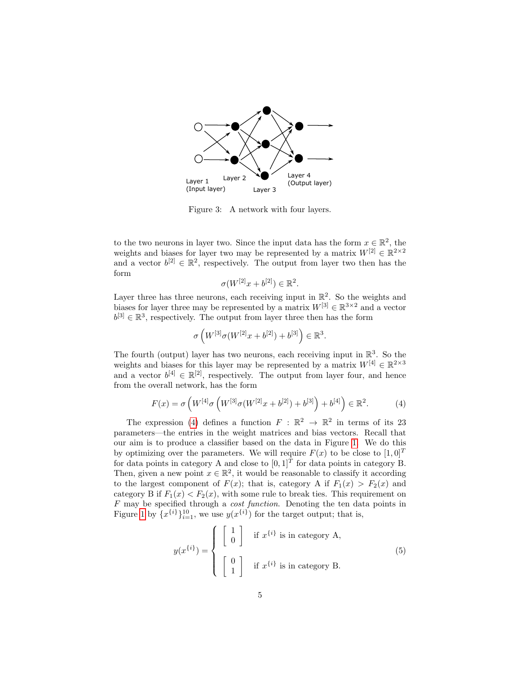

<span id="page-4-0"></span>Figure 3: A network with four layers.

to the two neurons in layer two. Since the input data has the form  $x \in \mathbb{R}^2$ , the weights and biases for layer two may be represented by a matrix  $W^{[2]} \in \mathbb{R}^{2 \times 2}$ and a vector  $b^{[2]} \in \mathbb{R}^2$ , respectively. The output from layer two then has the form

$$
\sigma(W^{[2]}x+b^{[2]}) \in \mathbb{R}^2
$$
.

Layer three has three neurons, each receiving input in  $\mathbb{R}^2$ . So the weights and biases for layer three may be represented by a matrix  $W^{[3]} \in \mathbb{R}^{3 \times 2}$  and a vector  $b^{[3]} \in \mathbb{R}^3$ , respectively. The output from layer three then has the form

$$
\sigma\left(W^{[3]} \sigma(W^{[2]} x + b^{[2]}) + b^{[3]}\right) \in \mathbb{R}^3.
$$

The fourth (output) layer has two neurons, each receiving input in  $\mathbb{R}^3$ . So the weights and biases for this layer may be represented by a matrix  $W^{[4]} \in \mathbb{R}^{2 \times 3}$ and a vector  $b^{[4]} \in \mathbb{R}^{[2]}$ , respectively. The output from layer four, and hence from the overall network, has the form

<span id="page-4-1"></span>
$$
F(x) = \sigma \left( W^{[4]} \sigma \left( W^{[3]} \sigma (W^{[2]} x + b^{[2]}) + b^{[3]} \right) + b^{[4]} \right) \in \mathbb{R}^2.
$$
 (4)

The expression [\(4\)](#page-4-1) defines a function  $F : \mathbb{R}^2 \to \mathbb{R}^2$  in terms of its 23 parameters—the entries in the weight matrices and bias vectors. Recall that our aim is to produce a classifier based on the data in Figure [1.](#page-2-0) We do this by optimizing over the parameters. We will require  $F(x)$  to be close to  $[1, 0]^T$ for data points in category A and close to  $[0, 1]^T$  for data points in category B. Then, given a new point  $x \in \mathbb{R}^2$ , it would be reasonable to classify it according to the largest component of  $F(x)$ ; that is, category A if  $F_1(x) > F_2(x)$  and category B if  $F_1(x) < F_2(x)$ , with some rule to break ties. This requirement on F may be specified through a *cost function*. Denoting the ten data points in Figure [1](#page-2-0) by  $\{x^{\{i\}}\}_{i=1}^{10}$ , we use  $y(x^{\{i\}})$  for the target output; that is,

<span id="page-4-2"></span>
$$
y(x^{\{i\}}) = \begin{cases} \begin{bmatrix} 1 \\ 0 \end{bmatrix} & \text{if } x^{\{i\}} \text{ is in category A}, \\ \begin{bmatrix} 0 \\ 1 \end{bmatrix} & \text{if } x^{\{i\}} \text{ is in category B.} \end{cases}
$$
(5)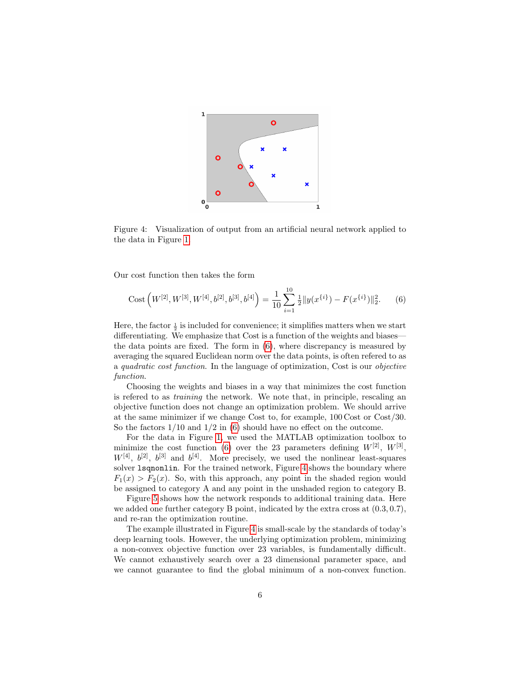

<span id="page-5-1"></span>Figure 4: Visualization of output from an artificial neural network applied to the data in Figure [1.](#page-2-0)

Our cost function then takes the form

<span id="page-5-0"></span>Cost 
$$
(W^{[2]}, W^{[3]}, W^{[4]}, b^{[2]}, b^{[3]}, b^{[4]}) = \frac{1}{10} \sum_{i=1}^{10} \frac{1}{2} ||y(x^{\{i\}}) - F(x^{\{i\}})||_2^2.
$$
 (6)

Here, the factor  $\frac{1}{2}$  is included for convenience; it simplifies matters when we start differentiating. We emphasize that Cost is a function of the weights and biases the data points are fixed. The form in [\(6\)](#page-5-0), where discrepancy is measured by averaging the squared Euclidean norm over the data points, is often refered to as a quadratic cost function. In the language of optimization, Cost is our objective function.

Choosing the weights and biases in a way that minimizes the cost function is refered to as training the network. We note that, in principle, rescaling an objective function does not change an optimization problem. We should arrive at the same minimizer if we change Cost to, for example, 100 Cost or Cost/30. So the factors  $1/10$  and  $1/2$  in [\(6\)](#page-5-0) should have no effect on the outcome.

For the data in Figure [1,](#page-2-0) we used the MATLAB optimization toolbox to minimize the cost function [\(6\)](#page-5-0) over the 23 parameters defining  $W^{[2]}$ ,  $W^{[3]}$ ,  $W^{[4]}$ ,  $b^{[2]}$ ,  $b^{[3]}$  and  $b^{[4]}$ . More precisely, we used the nonlinear least-squares solver lsqnonlin. For the trained network, Figure [4](#page-5-1) shows the boundary where  $F_1(x) > F_2(x)$ . So, with this approach, any point in the shaded region would be assigned to category A and any point in the unshaded region to category B.

Figure [5](#page-6-1) shows how the network responds to additional training data. Here we added one further category B point, indicated by the extra cross at  $(0.3, 0.7)$ , and re-ran the optimization routine.

The example illustrated in Figure [4](#page-5-1) is small-scale by the standards of today's deep learning tools. However, the underlying optimization problem, minimizing a non-convex objective function over 23 variables, is fundamentally difficult. We cannot exhaustively search over a 23 dimensional parameter space, and we cannot guarantee to find the global minimum of a non-convex function.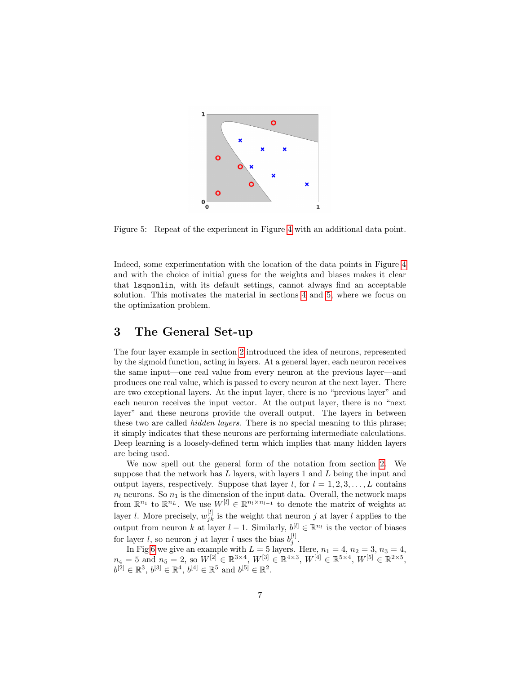

<span id="page-6-1"></span>Figure 5: Repeat of the experiment in Figure [4](#page-5-1) with an additional data point.

Indeed, some experimentation with the location of the data points in Figure [4](#page-5-1) and with the choice of initial guess for the weights and biases makes it clear that lsqnonlin, with its default settings, cannot always find an acceptable solution. This motivates the material in sections [4](#page-8-0) and [5,](#page-10-0) where we focus on the optimization problem.

# <span id="page-6-0"></span>3 The General Set-up

The four layer example in section [2](#page-1-0) introduced the idea of neurons, represented by the sigmoid function, acting in layers. At a general layer, each neuron receives the same input—one real value from every neuron at the previous layer—and produces one real value, which is passed to every neuron at the next layer. There are two exceptional layers. At the input layer, there is no "previous layer" and each neuron receives the input vector. At the output layer, there is no "next layer" and these neurons provide the overall output. The layers in between these two are called hidden layers. There is no special meaning to this phrase; it simply indicates that these neurons are performing intermediate calculations. Deep learning is a loosely-defined term which implies that many hidden layers are being used.

We now spell out the general form of the notation from section [2.](#page-1-0) We suppose that the network has  $L$  layers, with layers 1 and  $L$  being the input and output layers, respectively. Suppose that layer l, for  $l = 1, 2, 3, ..., L$  contains  $n_l$  neurons. So  $n_1$  is the dimension of the input data. Overall, the network maps from  $\mathbb{R}^{n_1}$  to  $\mathbb{R}^{n_L}$ . We use  $W^{[l]} \in \mathbb{R}^{n_l \times n_{l-1}}$  to denote the matrix of weights at layer *l*. More precisely,  $w_{jk}^{[l]}$  is the weight that neuron *j* at layer *l* applies to the output from neuron k at layer  $l-1$ . Similarly,  $b^{[l]} \in \mathbb{R}^{n_l}$  is the vector of biases for layer l, so neuron j at layer l uses the bias  $b_j^{[l]}$ .

In Fig [6](#page-7-0) we give an example with  $L = 5$  layers. Here,  $n_1 = 4$ ,  $n_2 = 3$ ,  $n_3 = 4$ ,  $n_4 = 5$  and  $n_5 = 2$ , so  $W^{[2]} \in \mathbb{R}^{3 \times 4}$ ,  $W^{[3]} \in \mathbb{R}^{4 \times 3}$ ,  $W^{[4]} \in \mathbb{R}^{5 \times 4}$ ,  $W^{[5]} \in \mathbb{R}^{2 \times 5}$ ,  $b^{[2]} \in \mathbb{R}^3$ ,  $b^{[3]} \in \mathbb{R}^4$ ,  $b^{[4]} \in \mathbb{R}^5$  and  $b^{[5]} \in \mathbb{R}^2$ .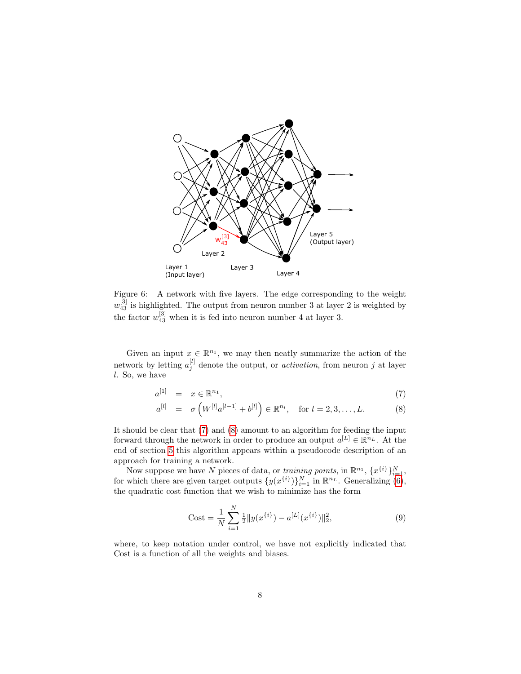

<span id="page-7-0"></span>Figure 6: A network with five layers. The edge corresponding to the weight  $w_{43}^{[3]}$  is highlighted. The output from neuron number 3 at layer 2 is weighted by the factor  $w_{43}^{[3]}$  when it is fed into neuron number 4 at layer 3.

Given an input  $x \in \mathbb{R}^{n_1}$ , we may then neatly summarize the action of the network by letting  $a_j^{[l]}$  denote the output, or *activation*, from neuron j at layer l. So, we have

<span id="page-7-1"></span>
$$
a^{[1]} = x \in \mathbb{R}^{n_1},\tag{7}
$$

$$
a^{[l]} = \sigma \left( W^{[l]} a^{[l-1]} + b^{[l]} \right) \in \mathbb{R}^{n_l}, \text{ for } l = 2, 3, ..., L.
$$
 (8)

It should be clear that [\(7\)](#page-7-1) and [\(8\)](#page-7-1) amount to an algorithm for feeding the input forward through the network in order to produce an output  $a^{[L]} \in \mathbb{R}^{n_L}$ . At the end of section [5](#page-10-0) this algorithm appears within a pseudocode description of an approach for training a network.

Now suppose we have N pieces of data, or *training points*, in  $\mathbb{R}^{n_1}$ ,  $\{x^{\{i\}}\}_{i=1}^N$ , for which there are given target outputs  $\{y(x^{\{i\}})\}_{i=1}^N$  in  $\mathbb{R}^{n_L}$ . Generalizing [\(6\)](#page-5-0), the quadratic cost function that we wish to minimize has the form

<span id="page-7-2"></span>Cost = 
$$
\frac{1}{N} \sum_{i=1}^{N} \frac{1}{2} ||y(x^{\{i\}}) - a^{[L]}(x^{\{i\}})||_2^2,
$$
 (9)

where, to keep notation under control, we have not explicitly indicated that Cost is a function of all the weights and biases.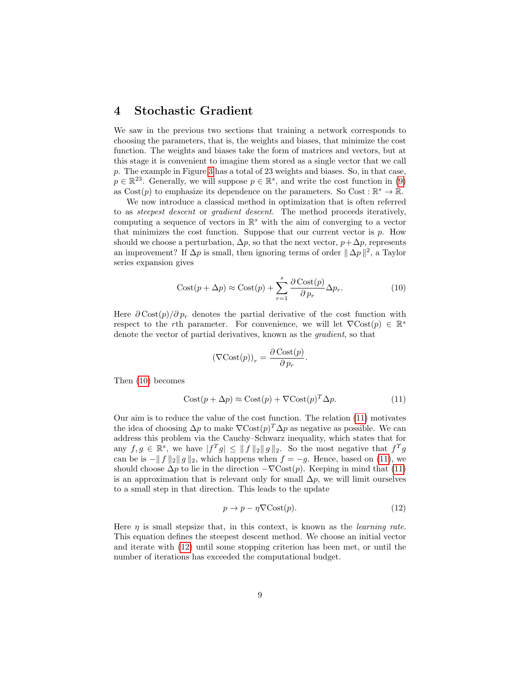#### <span id="page-8-0"></span>4 Stochastic Gradient

We saw in the previous two sections that training a network corresponds to choosing the parameters, that is, the weights and biases, that minimize the cost function. The weights and biases take the form of matrices and vectors, but at this stage it is convenient to imagine them stored as a single vector that we call p. The example in Figure [3](#page-4-0) has a total of 23 weights and biases. So, in that case,  $p \in \mathbb{R}^{23}$ . Generally, we will suppose  $p \in \mathbb{R}^{s}$ , and write the cost function in [\(9\)](#page-7-2) as  $Cost(p)$  to emphasize its dependence on the parameters. So Cost :  $\mathbb{R}^s \to \mathbb{R}$ .

We now introduce a classical method in optimization that is often referred to as steepest descent or gradient descent. The method proceeds iteratively, computing a sequence of vectors in  $\mathbb{R}^s$  with the aim of converging to a vector that minimizes the cost function. Suppose that our current vector is  $p$ . How should we choose a perturbation,  $\Delta p$ , so that the next vector,  $p + \Delta p$ , represents an improvement? If  $\Delta p$  is small, then ignoring terms of order  $|| \Delta p ||^2$ , a Taylor series expansion gives

<span id="page-8-1"></span>
$$
Cost(p + \Delta p) \approx Cost(p) + \sum_{r=1}^{s} \frac{\partial Cost(p)}{\partial p_r} \Delta p_r.
$$
 (10)

Here  $\partial \text{Cost}(p)/\partial p_r$  denotes the partial derivative of the cost function with respect to the rth parameter. For convenience, we will let  $\nabla \text{Cost}(p) \in \mathbb{R}^s$ denote the vector of partial derivatives, known as the gradient, so that

$$
(\nabla \text{Cost}(p))_r = \frac{\partial \text{Cost}(p)}{\partial p_r}.
$$

Then [\(10\)](#page-8-1) becomes

<span id="page-8-2"></span>
$$
Cost(p + \Delta p) \approx Cost(p) + \nabla Cost(p)^T \Delta p.
$$
 (11)

Our aim is to reduce the value of the cost function. The relation [\(11\)](#page-8-2) motivates the idea of choosing  $\Delta p$  to make  $\nabla \text{Cost}(p)^T \Delta p$  as negative as possible. We can address this problem via the Cauchy–Schwarz inequality, which states that for any  $f, g \in \mathbb{R}^s$ , we have  $|f^T g| \leq ||f||_2 ||g||_2$ . So the most negative that  $f^T g$ can be is  $-\|f\|_2 \|g\|_2$ , which happens when  $f = -g$ . Hence, based on [\(11\)](#page-8-2), we should choose  $\Delta p$  to lie in the direction  $-\nabla \text{Cost}(p)$ . Keeping in mind that [\(11\)](#page-8-2) is an approximation that is relevant only for small  $\Delta p$ , we will limit ourselves to a small step in that direction. This leads to the update

<span id="page-8-3"></span>
$$
p \to p - \eta \nabla \text{Cost}(p). \tag{12}
$$

Here  $\eta$  is small stepsize that, in this context, is known as the *learning rate*. This equation defines the steepest descent method. We choose an initial vector and iterate with [\(12\)](#page-8-3) until some stopping criterion has been met, or until the number of iterations has exceeded the computational budget.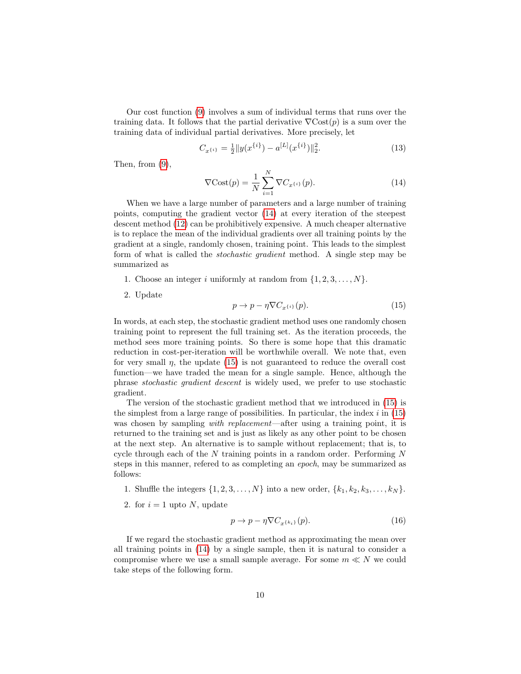Our cost function [\(9\)](#page-7-2) involves a sum of individual terms that runs over the training data. It follows that the partial derivative  $\nabla \text{Cost}(p)$  is a sum over the training data of individual partial derivatives. More precisely, let

<span id="page-9-2"></span>
$$
C_{x^{\{i\}}} = \frac{1}{2} \|y(x^{\{i\}}) - a^{[L]}(x^{\{i\}})\|_2^2.
$$
\n(13)

Then, from [\(9\)](#page-7-2),

<span id="page-9-0"></span>
$$
\nabla \text{Cost}(p) = \frac{1}{N} \sum_{i=1}^{N} \nabla C_{x^{i}}(p). \tag{14}
$$

When we have a large number of parameters and a large number of training points, computing the gradient vector [\(14\)](#page-9-0) at every iteration of the steepest descent method [\(12\)](#page-8-3) can be prohibitively expensive. A much cheaper alternative is to replace the mean of the individual gradients over all training points by the gradient at a single, randomly chosen, training point. This leads to the simplest form of what is called the stochastic gradient method. A single step may be summarized as

- 1. Choose an integer i uniformly at random from  $\{1, 2, 3, \ldots, N\}$ .
- 2. Update

<span id="page-9-1"></span>
$$
p \to p - \eta \nabla C_{x^{\{i\}}}(p). \tag{15}
$$

In words, at each step, the stochastic gradient method uses one randomly chosen training point to represent the full training set. As the iteration proceeds, the method sees more training points. So there is some hope that this dramatic reduction in cost-per-iteration will be worthwhile overall. We note that, even for very small  $\eta$ , the update [\(15\)](#page-9-1) is not guaranteed to reduce the overall cost function—we have traded the mean for a single sample. Hence, although the phrase stochastic gradient descent is widely used, we prefer to use stochastic gradient.

The version of the stochastic gradient method that we introduced in [\(15\)](#page-9-1) is the simplest from a large range of possibilities. In particular, the index  $i$  in [\(15\)](#page-9-1) was chosen by sampling *with replacement*—after using a training point, it is returned to the training set and is just as likely as any other point to be chosen at the next step. An alternative is to sample without replacement; that is, to cycle through each of the  $N$  training points in a random order. Performing  $N$ steps in this manner, refered to as completing an epoch, may be summarized as follows:

1. Shuffle the integers  $\{1, 2, 3, ..., N\}$  into a new order,  $\{k_1, k_2, k_3, ..., k_N\}$ .

2. for  $i = 1$  upto N, update

$$
p \to p - \eta \nabla C_{x^{\{k_i\}}}(p). \tag{16}
$$

If we regard the stochastic gradient method as approximating the mean over all training points in [\(14\)](#page-9-0) by a single sample, then it is natural to consider a compromise where we use a small sample average. For some  $m \ll N$  we could take steps of the following form.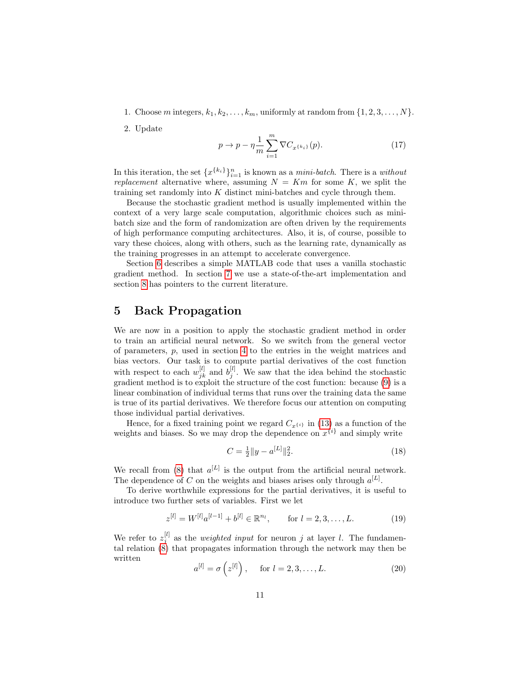- 1. Choose m integers,  $k_1, k_2, \ldots, k_m$ , uniformly at random from  $\{1, 2, 3, \ldots, N\}$ .
- 2. Update

<span id="page-10-4"></span>
$$
p \to p - \eta \frac{1}{m} \sum_{i=1}^{m} \nabla C_{x^{\{k_i\}}} (p). \tag{17}
$$

In this iteration, the set  $\{x^{\{k_i\}}\}_{i=1}^n$  is known as a *mini-batch*. There is a *without* replacement alternative where, assuming  $N = Km$  for some K, we split the training set randomly into K distinct mini-batches and cycle through them.

Because the stochastic gradient method is usually implemented within the context of a very large scale computation, algorithmic choices such as minibatch size and the form of randomization are often driven by the requirements of high performance computing architectures. Also, it is, of course, possible to vary these choices, along with others, such as the learning rate, dynamically as the training progresses in an attempt to accelerate convergence.

Section [6](#page-15-0) describes a simple MATLAB code that uses a vanilla stochastic gradient method. In section [7](#page-19-0) we use a state-of-the-art implementation and section [8](#page-30-0) has pointers to the current literature.

#### <span id="page-10-0"></span>5 Back Propagation

We are now in a position to apply the stochastic gradient method in order to train an artificial neural network. So we switch from the general vector of parameters, p, used in section [4](#page-8-0) to the entries in the weight matrices and bias vectors. Our task is to compute partial derivatives of the cost function with respect to each  $w_{jk}^{[l]}$  and  $b_j^{[l]}$ . We saw that the idea behind the stochastic gradient method is to exploit the structure of the cost function: because [\(9\)](#page-7-2) is a linear combination of individual terms that runs over the training data the same is true of its partial derivatives. We therefore focus our attention on computing those individual partial derivatives.

Hence, for a fixed training point we regard  $C_{x(i)}$  in [\(13\)](#page-9-2) as a function of the weights and biases. So we may drop the dependence on  $x^{\{i\}}$  and simply write

<span id="page-10-2"></span>
$$
C = \frac{1}{2} \|y - a^{[L]}\|_2^2.
$$
\n(18)

We recall from [\(8\)](#page-7-1) that  $a^{[L]}$  is the output from the artificial neural network. The dependence of C on the weights and biases arises only through  $a^{[L]}$ .

To derive worthwhile expressions for the partial derivatives, it is useful to introduce two further sets of variables. First we let

<span id="page-10-3"></span>
$$
z^{[l]} = W^{[l]}a^{[l-1]} + b^{[l]} \in \mathbb{R}^{n_l}, \qquad \text{for } l = 2, 3, \dots, L. \tag{19}
$$

We refer to  $z_j^{[l]}$  as the *weighted input* for neuron j at layer l. The fundamental relation [\(8\)](#page-7-1) that propagates information through the network may then be written

<span id="page-10-1"></span>
$$
a^{[l]} = \sigma\left(z^{[l]}\right), \quad \text{for } l = 2, 3, \dots, L. \tag{20}
$$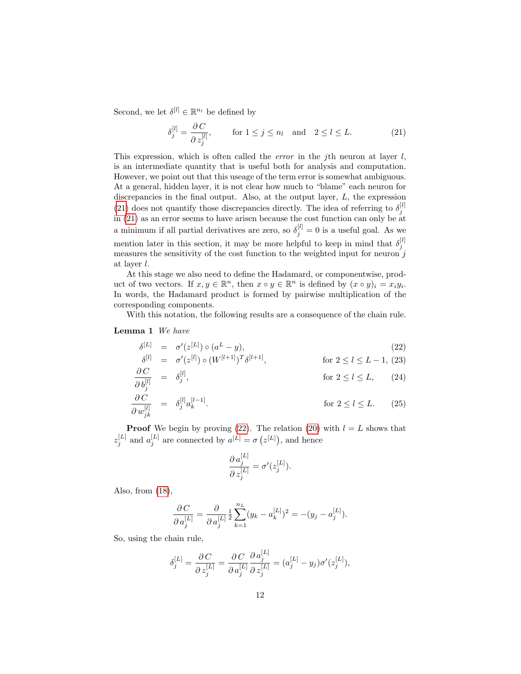Second, we let  $\delta^{[l]} \in \mathbb{R}^{n_l}$  be defined by

<span id="page-11-0"></span>
$$
\delta_j^{[l]} = \frac{\partial C}{\partial z_j^{[l]}}, \quad \text{for } 1 \le j \le n_l \quad \text{and} \quad 2 \le l \le L. \tag{21}
$$

This expression, which is often called the *error* in the j<sup>th</sup> neuron at layer  $l$ , is an intermediate quantity that is useful both for analysis and computation. However, we point out that this useage of the term error is somewhat ambiguous. At a general, hidden layer, it is not clear how much to "blame" each neuron for discrepancies in the final output. Also, at the output layer, L, the expression [\(21\)](#page-11-0) does not quantify those discrepancies directly. The idea of referring to  $\delta_j^{[l]}$ in [\(21\)](#page-11-0) as an error seems to have arisen because the cost function can only be at a minimum if all partial derivatives are zero, so  $\delta_j^{[l]} = 0$  is a useful goal. As we mention later in this section, it may be more helpful to keep in mind that  $\delta_j^{[l]}$ measures the sensitivity of the cost function to the weighted input for neuron  $j$ at layer l.

At this stage we also need to define the Hadamard, or componentwise, product of two vectors. If  $x, y \in \mathbb{R}^n$ , then  $x \circ y \in \mathbb{R}^n$  is defined by  $(x \circ y)_i = x_i y_i$ . In words, the Hadamard product is formed by pairwise multiplication of the corresponding components.

With this notation, the following results are a consequence of the chain rule.

#### <span id="page-11-2"></span>Lemma 1 We have

<span id="page-11-1"></span>
$$
\delta^{[L]} = \sigma'(z^{[L]}) \circ (a^L - y), \tag{22}
$$

$$
\begin{array}{rcl}\n\delta^{[l]} & = & \sigma'(z^{[l]}) \circ (W^{[l+1]})^T \delta^{[l+1]}, \\
\frac{\partial \, C}{\partial z^{[l]}} & = & \delta_j^{[l]}, \\
\end{array}\n\qquad \qquad \text{for } 2 \le l \le L - 1, \tag{23}
$$

$$
\frac{\partial b_j^{[l]}}{\partial [l]} = \delta_j^{[l]} a_k^{[l-1]}.
$$
 for  $2 \le l \le L$ . (25)

$$
\frac{\partial w_{jk}^{[l]}}{\partial w_{jk}^{[l]}} = \frac{\partial w_{jk}^{[l]}}{\partial w_{jk}}
$$
  
Proof We begin by proving (22). The relation (20) with  $l = L$  shows that

 $z_j^{[L]}$  and  $a_j^{[L]}$  are connected by  $a^{[L]} = \sigma(z^{[L]})$ , and hence

$$
\frac{\partial \, a_j^{[L]}}{\partial \, z_j^{[L]}} = \sigma'(z_j^{[L]}).
$$

Also, from [\(18\)](#page-10-2),

$$
\frac{\partial C}{\partial a_j^{[L]}} = \frac{\partial}{\partial a_j^{[L]}} \frac{1}{2} \sum_{k=1}^{n_L} (y_k - a_k^{[L]})^2 = -(y_j - a_j^{[L]}).
$$

So, using the chain rule,

$$
\delta_j^{[L]} = \frac{\partial C}{\partial z_j^{[L]}} = \frac{\partial C}{\partial a_j^{[L]}} \frac{\partial a_j^{[L]}}{\partial z_j^{[L]}} = (a_j^{[L]} - y_j) \sigma'(z_j^{[L]}),
$$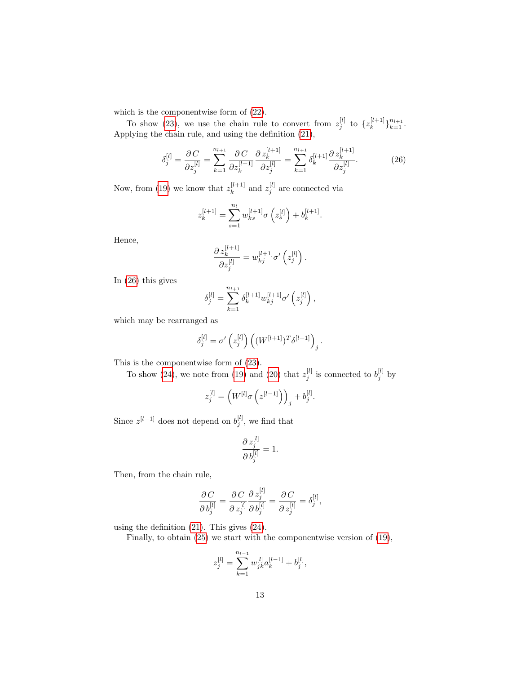which is the componentwise form of [\(22\)](#page-11-1).

To show [\(23\)](#page-11-1), we use the chain rule to convert from  $z_j^{[l]}$  to  $\{z_k^{[l+1]}$  ${}_{k}^{[l+1]}$   ${}_{k=1}^{n_{l+1}}$ . Applying the chain rule, and using the definition [\(21\)](#page-11-0),

<span id="page-12-0"></span>
$$
\delta_j^{[l]} = \frac{\partial C}{\partial z_j^{[l]}} = \sum_{k=1}^{n_{l+1}} \frac{\partial C}{\partial z_k^{[l+1]}} \frac{\partial z_k^{[l+1]}}{\partial z_j^{[l]}} = \sum_{k=1}^{n_{l+1}} \delta_k^{[l+1]} \frac{\partial z_k^{[l+1]}}{\partial z_j^{[l]}}.
$$
 (26)

Now, from [\(19\)](#page-10-3) we know that  $z_k^{[l+1]}$  $z_k^{[l+1]}$  and  $z_j^{[l]}$  are connected via

$$
z_k^{[l+1]} = \sum_{s=1}^{n_l} w_{ks}^{[l+1]} \sigma\left(z_s^{[l]}\right) + b_k^{[l+1]}.
$$

Hence,

$$
\frac{\partial z_k^{[l+1]}}{\partial z_j^{[l]}} = w_{kj}^{[l+1]} \sigma' \left( z_j^{[l]} \right).
$$

In [\(26\)](#page-12-0) this gives

$$
\delta_j^{[l]} = \sum_{k=1}^{n_{l+1}} \delta_k^{[l+1]} w_{kj}^{[l+1]} \sigma' \left( z_j^{[l]} \right),
$$

which may be rearranged as

$$
\delta_j^{[l]} = \sigma' \left( z_j^{[l]} \right) \left( (W^{[l+1]})^T \delta^{[l+1]} \right)_j
$$

.

This is the componentwise form of [\(23\)](#page-11-1).

To show [\(24\)](#page-11-1), we note from [\(19\)](#page-10-3) and [\(20\)](#page-10-1) that  $z_j^{[l]}$  is connected to  $b_j^{[l]}$  by

$$
z_j^{[l]} = \left(W^{[l]}\sigma\left(z^{[l-1]}\right)\right)_j + b_j^{[l]}.
$$

Since  $z^{[l-1]}$  does not depend on  $b_j^{[l]}$ , we find that

$$
\frac{\partial z_j^{[l]}}{\partial b_j^{[l]}} = 1.
$$

Then, from the chain rule,

$$
\frac{\partial \, C}{\partial \, b^{[l]}_j} = \frac{\partial \, C}{\partial \, z^{[l]}_j} \frac{\partial \, z^{[l]}_j}{\partial \, b^{[l]}_j} = \frac{\partial \, C}{\partial \, z^{[l]}_j} = \delta^{[l]}_j,
$$

using the definition [\(21\)](#page-11-0). This gives [\(24\)](#page-11-1).

Finally, to obtain [\(25\)](#page-11-1) we start with the componentwise version of [\(19\)](#page-10-3),

$$
z_j^{[l]} = \sum_{k=1}^{n_{l-1}} w_{jk}^{[l]} a_k^{[l-1]} + b_j^{[l]},
$$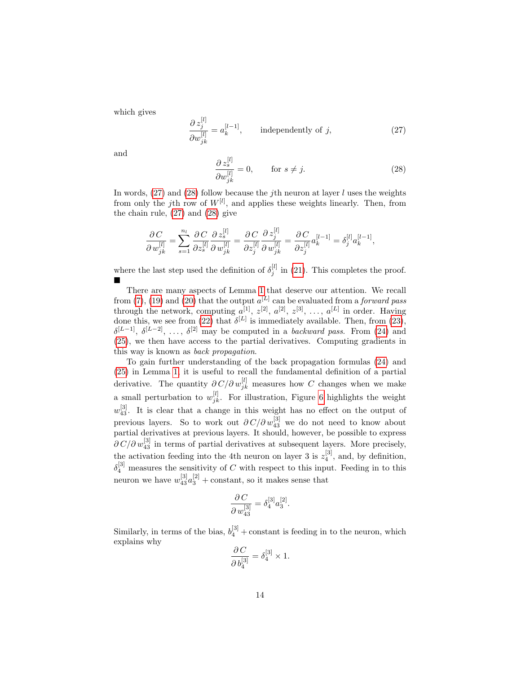which gives

<span id="page-13-0"></span>
$$
\frac{\partial z_j^{[l]}}{\partial w_{jk}^{[l]}} = a_k^{[l-1]}, \qquad \text{independently of } j,
$$
\n
$$
(27)
$$

and

<span id="page-13-1"></span>
$$
\frac{\partial z_s^{[l]}}{\partial w_{jk}^{[l]}} = 0, \qquad \text{for } s \neq j. \tag{28}
$$

In words,  $(27)$  and  $(28)$  follow because the jth neuron at layer l uses the weights from only the jth row of  $W^{[l]}$ , and applies these weights linearly. Then, from the chain rule, [\(27\)](#page-13-0) and [\(28\)](#page-13-1) give

$$
\frac{\partial\, C}{\partial\, w^{[l]}_{jk}}=\sum_{s=1}^{n_l}\frac{\partial\, C}{\partial z^{[l]}_s}\frac{\partial\, z^{[l]}_s}{\partial\, w^{[l]}_{jk}}=\frac{\partial\, C}{\partial z^{[l]}_j}\frac{\partial\, z^{[l]}_j}{\partial\, w^{[l]}_{jk}}=\frac{\partial\, C}{\partial z^{[l]}_j}a^{[l-1]}_k=\delta^{[l]}_ja^{[l-1]}_k,
$$

where the last step used the definition of  $\delta_j^{[l]}$  in [\(21\)](#page-11-0). This completes the proof.  $\blacksquare$ 

There are many aspects of Lemma [1](#page-11-2) that deserve our attention. We recall from [\(7\)](#page-7-1), [\(19\)](#page-10-3) and [\(20\)](#page-10-1) that the output  $a^{[L]}$  can be evaluated from a *forward pass* through the network, computing  $a^{[1]}$ ,  $z^{[2]}$ ,  $a^{[2]}$ ,  $z^{[3]}$ , ...,  $a^{[L]}$  in order. Having done this, we see from [\(22\)](#page-11-1) that  $\delta^{[L]}$  is immediately available. Then, from [\(23\)](#page-11-1),  $\delta^{[L-1]}, \delta^{[L-2]}, \ldots, \delta^{[2]}$  may be computed in a *backward pass.* From [\(24\)](#page-11-1) and [\(25\)](#page-11-1), we then have access to the partial derivatives. Computing gradients in this way is known as back propagation.

To gain further understanding of the back propagation formulas [\(24\)](#page-11-1) and [\(25\)](#page-11-1) in Lemma [1,](#page-11-2) it is useful to recall the fundamental definition of a partial derivative. The quantity  $\partial C/\partial w_{jk}^{[l]}$  measures how C changes when we make a small perturbation to  $w_{jk}^{[l]}$ . For illustration, Figure [6](#page-7-0) highlights the weight  $w_{43}^{[3]}$ . It is clear that a change in this weight has no effect on the output of previous layers. So to work out  $\partial C/\partial w_{43}^{[3]}$  we do not need to know about partial derivatives at previous layers. It should, however, be possible to express  $\partial C/\partial w_{43}^{[3]}$  in terms of partial derivatives at subsequent layers. More precisely, the activation feeding into the 4th neuron on layer 3 is  $z_4^{[3]}$ , and, by definition,  $\delta_4^{[3]}$  measures the sensitivity of C with respect to this input. Feeding in to this neuron we have  $w_{43}^{[3]}a_3^{[2]}$  + constant, so it makes sense that

$$
\frac{\partial C}{\partial w_{43}^{[3]}} = \delta_4^{[3]} a_3^{[2]}.
$$

Similarly, in terms of the bias,  $b_4^{[3]}$  + constant is feeding in to the neuron, which explains why

$$
\frac{\partial C}{\partial b_4^{[3]}} = \delta_4^{[3]} \times 1.
$$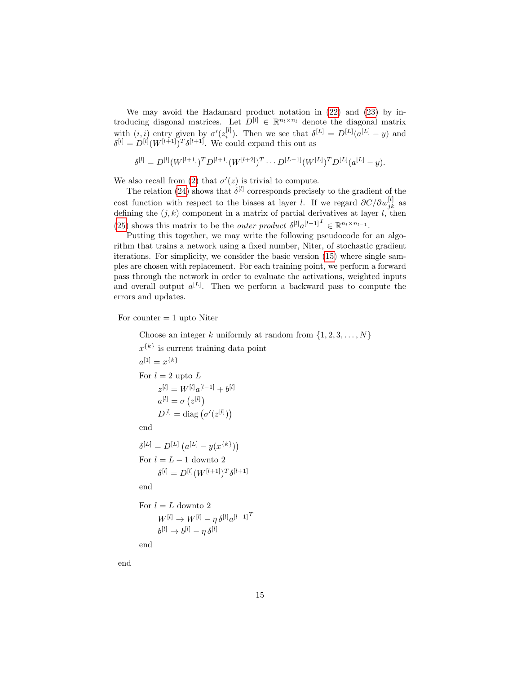We may avoid the Hadamard product notation in [\(22\)](#page-11-1) and [\(23\)](#page-11-1) by introducing diagonal matrices. Let  $D^{[l]} \in \mathbb{R}^{n_l \times n_l}$  denote the diagonal matrix with  $(i, i)$  entry given by  $\sigma'(z_i^{[l]})$ . Then we see that  $\delta^{[L]} = D^{[L]}(a^{[L]} - y)$  and  $\delta^{[l]} = D^{[l]}(W^{[l+1]})^T \delta^{[l+1]}$ . We could expand this out as

$$
\delta^{[l]} = D^{[l]}(W^{[l+1]})^T D^{[l+1]}(W^{[l+2]})^T \cdots D^{[L-1]}(W^{[L]})^T D^{[L]}(a^{[L]} - y).
$$

We also recall from [\(2\)](#page-2-2) that  $\sigma'(z)$  is trivial to compute.

The relation [\(24\)](#page-11-1) shows that  $\delta^{[l]}$  corresponds precisely to the gradient of the cost function with respect to the biases at layer l. If we regard  $\partial C/\partial w_{jk}^{[l]}$  as defining the  $(j, k)$  component in a matrix of partial derivatives at layer l, then [\(25\)](#page-11-1) shows this matrix to be the *outer product*  $\delta^{[l]} a^{[l-1]}^T \in \mathbb{R}^{n_l \times n_{l-1}}$ .

Putting this together, we may write the following pseudocode for an algorithm that trains a network using a fixed number, Niter, of stochastic gradient iterations. For simplicity, we consider the basic version [\(15\)](#page-9-1) where single samples are chosen with replacement. For each training point, we perform a forward pass through the network in order to evaluate the activations, weighted inputs and overall output  $a^{[L]}$ . Then we perform a backward pass to compute the errors and updates.

For counter  $= 1$  upto Niter

Choose an integer k uniformly at random from  $\{1, 2, 3, \ldots, N\}$  $x^{\{k\}}$  is current training data point  $a^{[1]} = x^{\{k\}}$ For  $l = 2$  upto L  $z^{[l]} = W^{[l]}a^{[l-1]} + b^{[l]}$  $a^{[l]} = \sigma(z^{[l]})$  $D^{[l]} = \text{diag}(\sigma'(z^{[l]}))$ end  $\delta^{[L]} = D^{[L]} (a^{[L]} - y(x^{\{k\}}))$ For  $l = L - 1$  downto 2

 $\delta^{[l]}=D^{[l]}(W^{[l+1]})^T\delta^{[l+1]}$ end

```
For l=L down<br>to 2\,W^{[l]} \to W^{[l]} - \eta \, \delta^{[l]} a^{[l-1]}^Tb^{[l]}\rightarrow b^{[l]}-\eta\,\delta^{[l]}
```
end

end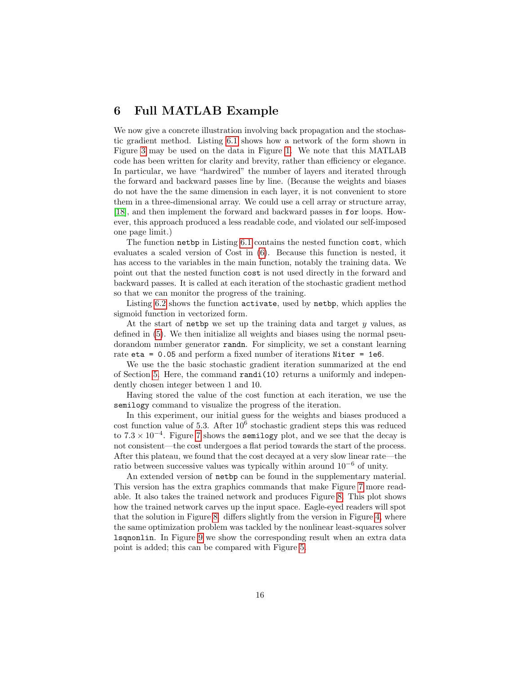# <span id="page-15-0"></span>6 Full MATLAB Example

We now give a concrete illustration involving back propagation and the stochastic gradient method. Listing [6.1](#page-16-0) shows how a network of the form shown in Figure [3](#page-4-0) may be used on the data in Figure [1.](#page-2-0) We note that this MATLAB code has been written for clarity and brevity, rather than efficiency or elegance. In particular, we have "hardwired" the number of layers and iterated through the forward and backward passes line by line. (Because the weights and biases do not have the the same dimension in each layer, it is not convenient to store them in a three-dimensional array. We could use a cell array or structure array, [\[18\]](#page-37-0), and then implement the forward and backward passes in for loops. However, this approach produced a less readable code, and violated our self-imposed one page limit.)

The function netbp in Listing [6.1](#page-16-0) contains the nested function cost, which evaluates a scaled version of Cost in [\(6\)](#page-5-0). Because this function is nested, it has access to the variables in the main function, notably the training data. We point out that the nested function cost is not used directly in the forward and backward passes. It is called at each iteration of the stochastic gradient method so that we can monitor the progress of the training.

Listing [6.2](#page-17-0) shows the function activate, used by netbp, which applies the sigmoid function in vectorized form.

At the start of netbp we set up the training data and target y values, as defined in [\(5\)](#page-4-2). We then initialize all weights and biases using the normal pseudorandom number generator randn. For simplicity, we set a constant learning rate eta = 0.05 and perform a fixed number of iterations Niter = 1e6.

We use the the basic stochastic gradient iteration summarized at the end of Section [5.](#page-10-0) Here, the command randi(10) returns a uniformly and independently chosen integer between 1 and 10.

Having stored the value of the cost function at each iteration, we use the semilogy command to visualize the progress of the iteration.

In this experiment, our initial guess for the weights and biases produced a  $\cos t$  function value of 5.3. After  $10^6$  stochastic gradient steps this was reduced to  $7.3 \times 10^{-4}$ . Figure [7](#page-17-1) shows the semilogy plot, and we see that the decay is not consistent—the cost undergoes a flat period towards the start of the process. After this plateau, we found that the cost decayed at a very slow linear rate—the ratio between successive values was typically within around  $10^{-6}$  of unity.

An extended version of netbp can be found in the supplementary material. This version has the extra graphics commands that make Figure [7](#page-17-1) more readable. It also takes the trained network and produces Figure [8.](#page-18-0) This plot shows how the trained network carves up the input space. Eagle-eyed readers will spot that the solution in Figure [8.](#page-18-0) differs slightly from the version in Figure [4,](#page-5-1) where the same optimization problem was tackled by the nonlinear least-squares solver lsqnonlin. In Figure [9](#page-18-1) we show the corresponding result when an extra data point is added; this can be compared with Figure [5.](#page-6-1)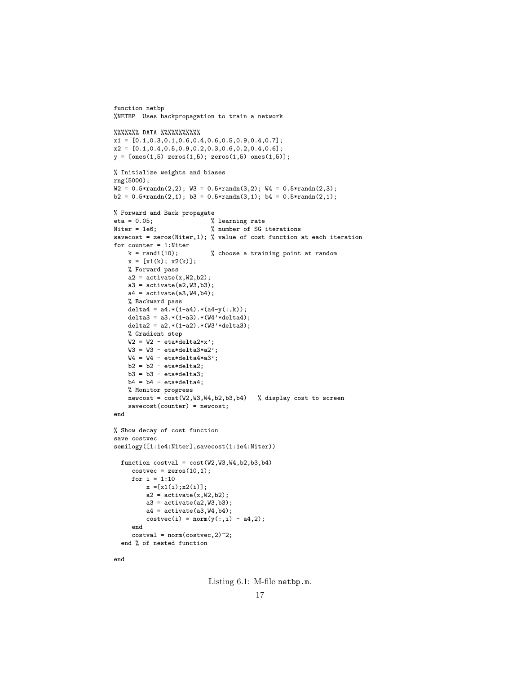```
function netbp
%NETBP Uses backpropagation to train a network
%%%%%%% DATA %%%%%%%%%%%
x1 = [0.1, 0.3, 0.1, 0.6, 0.4, 0.6, 0.5, 0.9, 0.4, 0.7];x2 = [0.1, 0.4, 0.5, 0.9, 0.2, 0.3, 0.6, 0.2, 0.4, 0.6];y = [ones(1,5) zeros(1,5); zeros(1,5) ones(1,5)];% Initialize weights and biases
rng(5000);
W2 = 0.5*randn(2,2); W3 = 0.5*randn(3,2); W4 = 0.5*randn(2,3);b2 = 0.5*randn(2,1); b3 = 0.5*randn(3,1); b4 = 0.5*randn(2,1);% Forward and Back propagate
eta = 0.05;<br>Niter = 1e6;<br>
% number of SG
                           % number of SG iterations
savecost = zeros(Niter,1); % value of cost function at each iteration
for counter = 1:Niter<br>k = randi(10);% choose a training point at random
    x = [x1(k); x2(k)];% Forward pass
    a2 = \text{active}(x, W2, b2);a3 = activate(a2,W3,b3);a4 = activate(a3,W4,b4);% Backward pass
    delta4 = a4.*(1-a4).*(a4-y(:,k));delta3 = a3.*(1-a3).*(W4)*delta1;
    delta2 = a2.*(1-a2).*(W3'*delta);% Gradient step
    W2 = W2 - eta*delta2*x;
    W3 = W3 - eta*delta1a3*a2;
    W4 = W4 - eta*delta4*aa3b2 = b2 - eta*delta2;b3 = b3 - eta*delta3;b4 = b4 - eta*delta4;% Monitor progress
    newcost = cost(W2,W3,W4,b2,b3,b4) % display cost to screen
    savecost(counter) = newcost;
end
% Show decay of cost function
save costvec
semilogy([1:1e4:Niter],savecost(1:1e4:Niter))
  function costval = cost(W2,W3,W4,b2,b3,b4)costvec = zeros(10, 1);for i = 1:10x = [x1(i); x2(i)];a2 = activate(x,W2,b2);a3 = activate(a2,W3,b3);a4 = activate(a3,W4,b4);\text{costvec}(i) = \text{norm}(y(:,i) - a4,2);end
     costval = norm(costvec, 2)^2;end % of nested function
```
Listing 6.1: M-file netbp.m.

end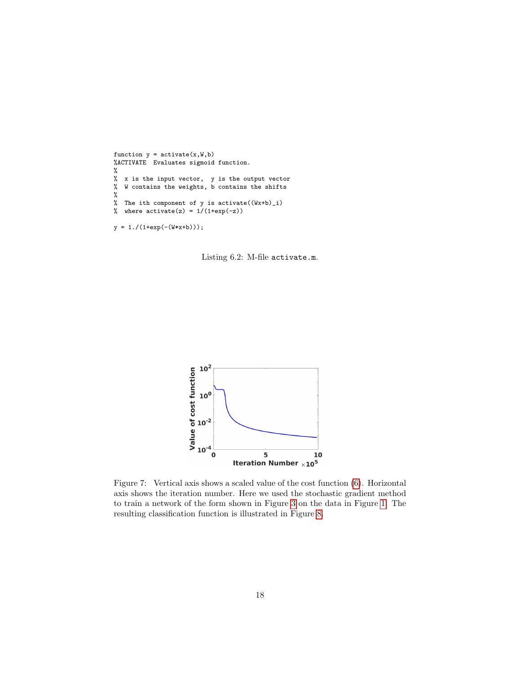```
function y = activate(x, W, b)%ACTIVATE Evaluates sigmoid function.
%<br>%
% x is the input vector, y is the output vector % W contains the weights, b contains the shifts
   W contains the weights, b contains the shifts
\frac{\%}{\%}% The ith component of y is activate(((Wx+b)_i)<br>% where activate(z) = 1/(1+exp(-z))
   where active(z) = 1/(1+exp(-z))y = 1./(1+exp(-(W*x+b)));
```
Listing 6.2: M-file activate.m.



<span id="page-17-1"></span>Figure 7: Vertical axis shows a scaled value of the cost function [\(6\)](#page-5-0). Horizontal axis shows the iteration number. Here we used the stochastic gradient method to train a network of the form shown in Figure [3](#page-4-0) on the data in Figure [1.](#page-2-0) The resulting classification function is illustrated in Figure [8.](#page-18-0)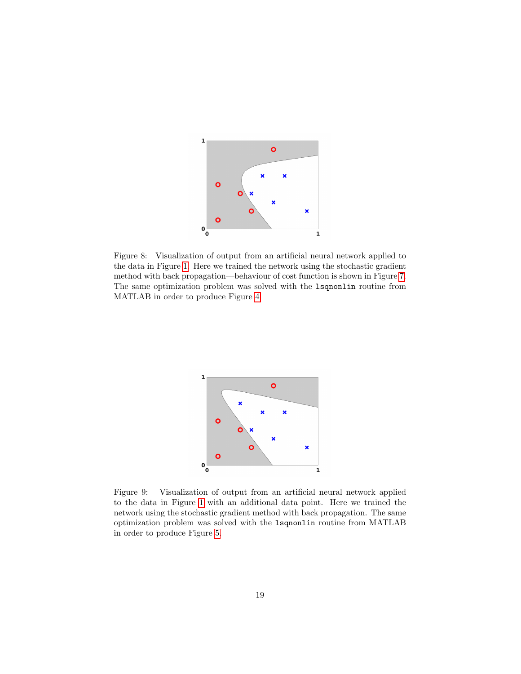

<span id="page-18-0"></span>Figure 8: Visualization of output from an artificial neural network applied to the data in Figure [1.](#page-2-0) Here we trained the network using the stochastic gradient method with back propagation—behaviour of cost function is shown in Figure [7.](#page-17-1) The same optimization problem was solved with the lsqnonlin routine from MATLAB in order to produce Figure [4.](#page-5-1)



<span id="page-18-1"></span>Figure 9: Visualization of output from an artificial neural network applied to the data in Figure [1](#page-2-0) with an additional data point. Here we trained the network using the stochastic gradient method with back propagation. The same optimization problem was solved with the lsqnonlin routine from MATLAB in order to produce Figure [5.](#page-6-1)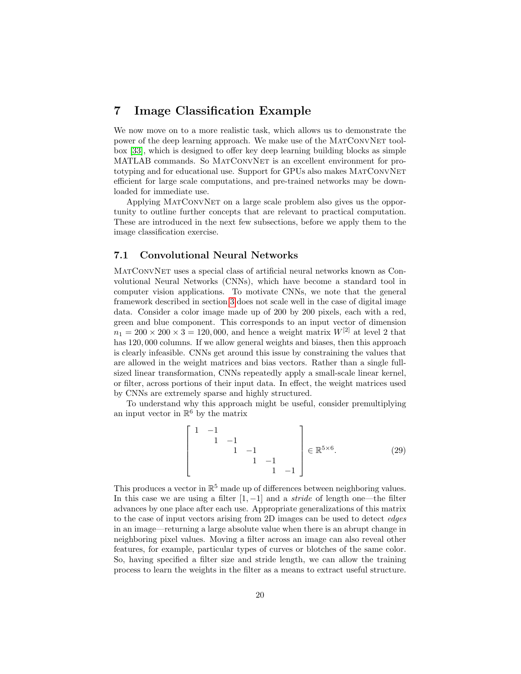# <span id="page-19-0"></span>7 Image Classification Example

We now move on to a more realistic task, which allows us to demonstrate the power of the deep learning approach. We make use of the MATCONVNET toolbox [\[33\]](#page-38-0), which is designed to offer key deep learning building blocks as simple MATLAB commands. So MatConvNet is an excellent environment for prototyping and for educational use. Support for GPUs also makes MATCONVNET efficient for large scale computations, and pre-trained networks may be downloaded for immediate use.

Applying MatConvNet on a large scale problem also gives us the opportunity to outline further concepts that are relevant to practical computation. These are introduced in the next few subsections, before we apply them to the image classification exercise.

#### 7.1 Convolutional Neural Networks

MatConvNet uses a special class of artificial neural networks known as Convolutional Neural Networks (CNNs), which have become a standard tool in computer vision applications. To motivate CNNs, we note that the general framework described in section [3](#page-6-0) does not scale well in the case of digital image data. Consider a color image made up of 200 by 200 pixels, each with a red, green and blue component. This corresponds to an input vector of dimension  $n_1 = 200 \times 200 \times 3 = 120,000$ , and hence a weight matrix  $W^{[2]}$  at level 2 that has 120,000 columns. If we allow general weights and biases, then this approach is clearly infeasible. CNNs get around this issue by constraining the values that are allowed in the weight matrices and bias vectors. Rather than a single fullsized linear transformation, CNNs repeatedly apply a small-scale linear kernel, or filter, across portions of their input data. In effect, the weight matrices used by CNNs are extremely sparse and highly structured.

To understand why this approach might be useful, consider premultiplying an input vector in  $\mathbb{R}^6$  by the matrix

<span id="page-19-1"></span>
$$
\begin{bmatrix} 1 & -1 & & & & \\ & 1 & -1 & & & \\ & & 1 & -1 & & \\ & & & 1 & -1 & \\ & & & & 1 & -1 \end{bmatrix} \in \mathbb{R}^{5 \times 6}.
$$
 (29)

This produces a vector in  $\mathbb{R}^5$  made up of differences between neighboring values. In this case we are using a filter  $[1, -1]$  and a *stride* of length one—the filter advances by one place after each use. Appropriate generalizations of this matrix to the case of input vectors arising from 2D images can be used to detect edges in an image—returning a large absolute value when there is an abrupt change in neighboring pixel values. Moving a filter across an image can also reveal other features, for example, particular types of curves or blotches of the same color. So, having specified a filter size and stride length, we can allow the training process to learn the weights in the filter as a means to extract useful structure.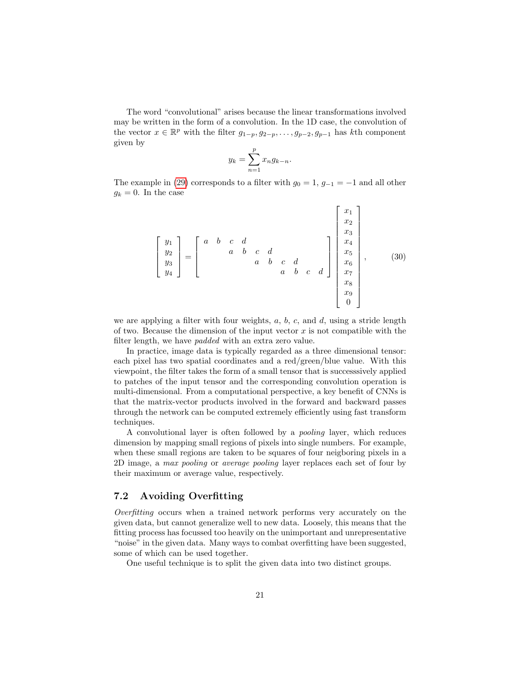The word "convolutional" arises because the linear transformations involved may be written in the form of a convolution. In the 1D case, the convolution of the vector  $x \in \mathbb{R}^p$  with the filter  $g_{1-p}, g_{2-p}, \ldots, g_{p-2}, g_{p-1}$  has kth component given by

$$
y_k = \sum_{n=1}^p x_n g_{k-n}.
$$

The example in [\(29\)](#page-19-1) corresponds to a filter with  $g_0 = 1, g_{-1} = -1$  and all other  $g_k = 0$ . In the case

$$
\begin{bmatrix} y_1 \\ y_2 \\ y_3 \\ y_4 \end{bmatrix} = \begin{bmatrix} a & b & c & d \\ & a & b & c & d \\ & & a & b & c & d \\ & & & a & b & c & d \\ & & & & a & b & c & d \end{bmatrix} \begin{bmatrix} x_1 \\ x_2 \\ x_3 \\ x_4 \\ x_5 \\ x_6 \\ x_7 \\ x_8 \\ x_9 \\ 0 \end{bmatrix}, \qquad (30)
$$

we are applying a filter with four weights,  $a, b, c$ , and  $d$ , using a stride length of two. Because the dimension of the input vector  $x$  is not compatible with the filter length, we have padded with an extra zero value.

In practice, image data is typically regarded as a three dimensional tensor: each pixel has two spatial coordinates and a red/green/blue value. With this viewpoint, the filter takes the form of a small tensor that is successsively applied to patches of the input tensor and the corresponding convolution operation is multi-dimensional. From a computational perspective, a key benefit of CNNs is that the matrix-vector products involved in the forward and backward passes through the network can be computed extremely efficiently using fast transform techniques.

A convolutional layer is often followed by a pooling layer, which reduces dimension by mapping small regions of pixels into single numbers. For example, when these small regions are taken to be squares of four neigboring pixels in a 2D image, a max pooling or average pooling layer replaces each set of four by their maximum or average value, respectively.

#### 7.2 Avoiding Overfitting

Overfitting occurs when a trained network performs very accurately on the given data, but cannot generalize well to new data. Loosely, this means that the fitting process has focussed too heavily on the unimportant and unrepresentative "noise" in the given data. Many ways to combat overfitting have been suggested, some of which can be used together.

One useful technique is to split the given data into two distinct groups.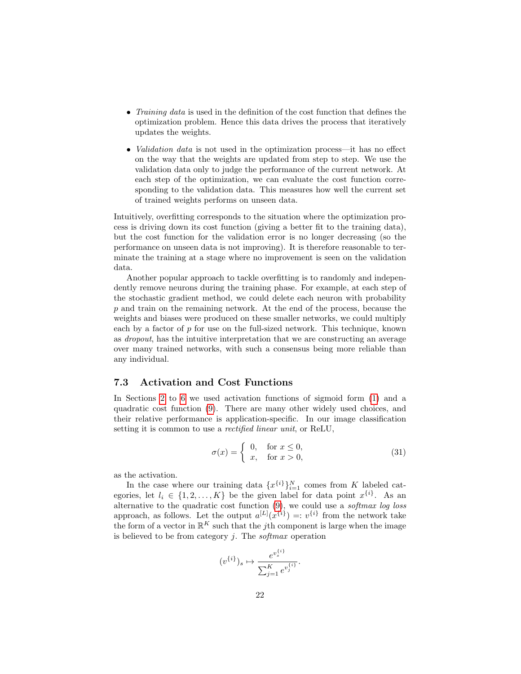- Training data is used in the definition of the cost function that defines the optimization problem. Hence this data drives the process that iteratively updates the weights.
- *Validation data* is not used in the optimization process—it has no effect on the way that the weights are updated from step to step. We use the validation data only to judge the performance of the current network. At each step of the optimization, we can evaluate the cost function corresponding to the validation data. This measures how well the current set of trained weights performs on unseen data.

Intuitively, overfitting corresponds to the situation where the optimization process is driving down its cost function (giving a better fit to the training data), but the cost function for the validation error is no longer decreasing (so the performance on unseen data is not improving). It is therefore reasonable to terminate the training at a stage where no improvement is seen on the validation data.

Another popular approach to tackle overfitting is to randomly and independently remove neurons during the training phase. For example, at each step of the stochastic gradient method, we could delete each neuron with probability p and train on the remaining network. At the end of the process, because the weights and biases were produced on these smaller networks, we could multiply each by a factor of p for use on the full-sized network. This technique, known as dropout, has the intuitive interpretation that we are constructing an average over many trained networks, with such a consensus being more reliable than any individual.

#### 7.3 Activation and Cost Functions

In Sections [2](#page-1-0) to [6](#page-15-0) we used activation functions of sigmoid form [\(1\)](#page-2-1) and a quadratic cost function [\(9\)](#page-7-2). There are many other widely used choices, and their relative performance is application-specific. In our image classification setting it is common to use a *rectified linear unit*, or ReLU,

<span id="page-21-0"></span>
$$
\sigma(x) = \begin{cases} 0, & \text{for } x \le 0, \\ x, & \text{for } x > 0, \end{cases}
$$
 (31)

as the activation.

In the case where our training data  $\{x^{\{i\}}\}_{i=1}^N$  comes from K labeled categories, let  $l_i \in \{1, 2, ..., K\}$  be the given label for data point  $x^{\{i\}}$ . As an alternative to the quadratic cost function  $(9)$ , we could use a *softmax log loss* approach, as follows. Let the output  $a^{[L]}(x^{\{i\}}) =: v^{\{i\}}$  from the network take the form of a vector in  $\mathbb{R}^K$  such that the *j*th component is large when the image is believed to be from category  $j$ . The softmax operation

$$
(v^{\{i\}})_s \mapsto \frac{e^{v_s^{\{i\}}}}{\sum_{j=1}^K e^{v_j^{\{i\}}}}.
$$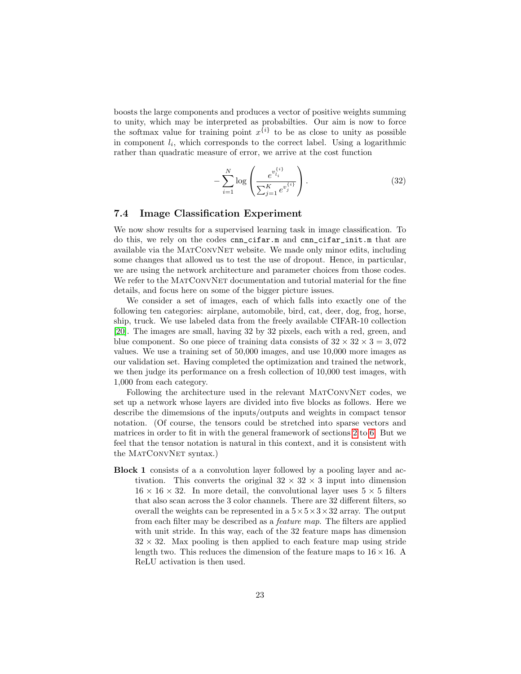boosts the large components and produces a vector of positive weights summing to unity, which may be interpreted as probabilties. Our aim is now to force the softmax value for training point  $x^{\{i\}}$  to be as close to unity as possible in component  $l_i$ , which corresponds to the correct label. Using a logarithmic rather than quadratic measure of error, we arrive at the cost function

<span id="page-22-0"></span>
$$
-\sum_{i=1}^{N} \log \left( \frac{e^{v_{i_i}^{(i)}}}{\sum_{j=1}^{K} e^{v_j^{(i)}}} \right). \tag{32}
$$

#### 7.4 Image Classification Experiment

We now show results for a supervised learning task in image classification. To do this, we rely on the codes cnn\_cifar.m and cnn\_cifar\_init.m that are available via the MatConvNet website. We made only minor edits, including some changes that allowed us to test the use of dropout. Hence, in particular, we are using the network architecture and parameter choices from those codes. We refer to the MATCONVNET documentation and tutorial material for the fine details, and focus here on some of the bigger picture issues.

We consider a set of images, each of which falls into exactly one of the following ten categories: airplane, automobile, bird, cat, deer, dog, frog, horse, ship, truck. We use labeled data from the freely available CIFAR-10 collection [\[20\]](#page-37-1). The images are small, having 32 by 32 pixels, each with a red, green, and blue component. So one piece of training data consists of  $32 \times 32 \times 3 = 3.072$ values. We use a training set of 50,000 images, and use 10,000 more images as our validation set. Having completed the optimization and trained the network, we then judge its performance on a fresh collection of 10,000 test images, with 1,000 from each category.

Following the architecture used in the relevant MATCONVNET codes, we set up a network whose layers are divided into five blocks as follows. Here we describe the dimemsions of the inputs/outputs and weights in compact tensor notation. (Of course, the tensors could be stretched into sparse vectors and matrices in order to fit in with the general framework of sections [2](#page-1-0) to [6.](#page-15-0) But we feel that the tensor notation is natural in this context, and it is consistent with the MATCONVNET syntax.)

Block 1 consists of a a convolution layer followed by a pooling layer and activation. This converts the original  $32 \times 32 \times 3$  input into dimension  $16 \times 16 \times 32$ . In more detail, the convolutional layer uses  $5 \times 5$  filters that also scan across the 3 color channels. There are 32 different filters, so overall the weights can be represented in a  $5 \times 5 \times 3 \times 32$  array. The output from each filter may be described as a feature map. The filters are applied with unit stride. In this way, each of the 32 feature maps has dimension  $32 \times 32$ . Max pooling is then applied to each feature map using stride length two. This reduces the dimension of the feature maps to  $16 \times 16$ . A ReLU activation is then used.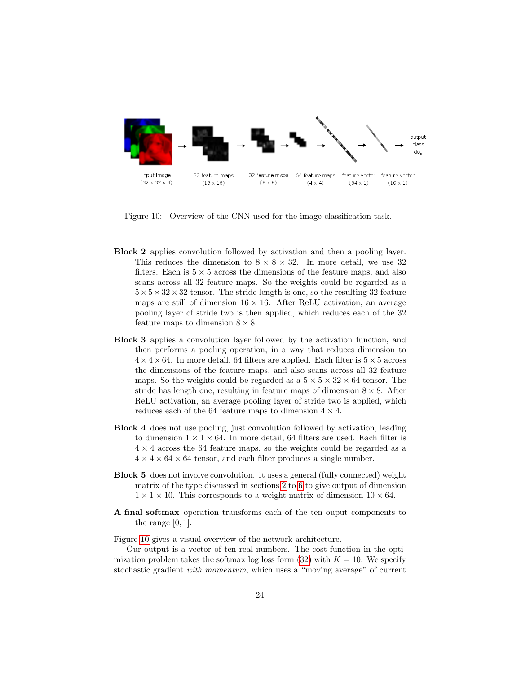

<span id="page-23-0"></span>Figure 10: Overview of the CNN used for the image classification task.

- Block 2 applies convolution followed by activation and then a pooling layer. This reduces the dimension to  $8 \times 8 \times 32$ . In more detail, we use 32 filters. Each is  $5 \times 5$  across the dimensions of the feature maps, and also scans across all 32 feature maps. So the weights could be regarded as a  $5 \times 5 \times 32 \times 32$  tensor. The stride length is one, so the resulting 32 feature maps are still of dimension  $16 \times 16$ . After ReLU activation, an average pooling layer of stride two is then applied, which reduces each of the 32 feature maps to dimension  $8 \times 8$ .
- Block 3 applies a convolution layer followed by the activation function, and then performs a pooling operation, in a way that reduces dimension to  $4 \times 4 \times 64$ . In more detail, 64 filters are applied. Each filter is  $5 \times 5$  across the dimensions of the feature maps, and also scans across all 32 feature maps. So the weights could be regarded as a  $5 \times 5 \times 32 \times 64$  tensor. The stride has length one, resulting in feature maps of dimension  $8 \times 8$ . After ReLU activation, an average pooling layer of stride two is applied, which reduces each of the 64 feature maps to dimension  $4 \times 4$ .
- Block 4 does not use pooling, just convolution followed by activation, leading to dimension  $1 \times 1 \times 64$ . In more detail, 64 filters are used. Each filter is  $4 \times 4$  across the 64 feature maps, so the weights could be regarded as a  $4 \times 4 \times 64 \times 64$  tensor, and each filter produces a single number.
- Block 5 does not involve convolution. It uses a general (fully connected) weight matrix of the type discussed in sections [2](#page-1-0) to [6](#page-15-0) to give output of dimension  $1 \times 1 \times 10$ . This corresponds to a weight matrix of dimension  $10 \times 64$ .
- A final softmax operation transforms each of the ten ouput components to the range  $[0, 1]$ .

Figure [10](#page-23-0) gives a visual overview of the network architecture.

Our output is a vector of ten real numbers. The cost function in the optimization problem takes the softmax log loss form  $(32)$  with  $K = 10$ . We specify stochastic gradient with momentum, which uses a "moving average" of current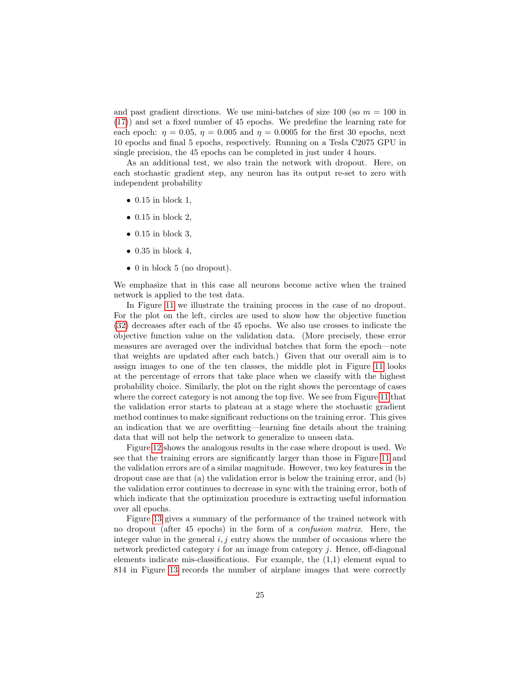and past gradient directions. We use mini-batches of size 100 (so  $m = 100$  in [\(17\)](#page-10-4)) and set a fixed number of 45 epochs. We predefine the learning rate for each epoch:  $\eta = 0.05$ ,  $\eta = 0.005$  and  $\eta = 0.0005$  for the first 30 epochs, next 10 epochs and final 5 epochs, respectively. Running on a Tesla C2075 GPU in single precision, the 45 epochs can be completed in just under 4 hours.

As an additional test, we also train the network with dropout. Here, on each stochastic gradient step, any neuron has its output re-set to zero with independent probability

- $\bullet$  0.15 in block 1,
- $\bullet$  0.15 in block 2,
- $\bullet$  0.15 in block 3,
- $\bullet$  0.35 in block 4,
- 0 in block 5 (no dropout).

We emphasize that in this case all neurons become active when the trained network is applied to the test data.

In Figure [11](#page-25-0) we illustrate the training process in the case of no dropout. For the plot on the left, circles are used to show how the objective function [\(32\)](#page-22-0) decreases after each of the 45 epochs. We also use crosses to indicate the objective function value on the validation data. (More precisely, these error measures are averaged over the individual batches that form the epoch—note that weights are updated after each batch.) Given that our overall aim is to assign images to one of the ten classes, the middle plot in Figure [11](#page-25-0) looks at the percentage of errors that take place when we classify with the highest probability choice. Similarly, the plot on the right shows the percentage of cases where the correct category is not among the top five. We see from Figure [11](#page-25-0) that the validation error starts to plateau at a stage where the stochastic gradient method continues to make significant reductions on the training error. This gives an indication that we are overfitting—learning fine details about the training data that will not help the network to generalize to unseen data.

Figure [12](#page-26-0) shows the analogous results in the case where dropout is used. We see that the training errors are significantly larger than those in Figure [11](#page-25-0) and the validation errors are of a similar magnitude. However, two key features in the dropout case are that (a) the validation error is below the training error, and (b) the validation error continues to decrease in sync with the training error, both of which indicate that the optimization procedure is extracting useful information over all epochs.

Figure [13](#page-27-0) gives a summary of the performance of the trained network with no dropout (after 45 epochs) in the form of a confusion matrix. Here, the integer value in the general  $i, j$  entry shows the number of occasions where the network predicted category  $i$  for an image from category  $i$ . Hence, off-diagonal elements indicate mis-classifications. For example, the (1,1) element equal to 814 in Figure [13](#page-27-0) records the number of airplane images that were correctly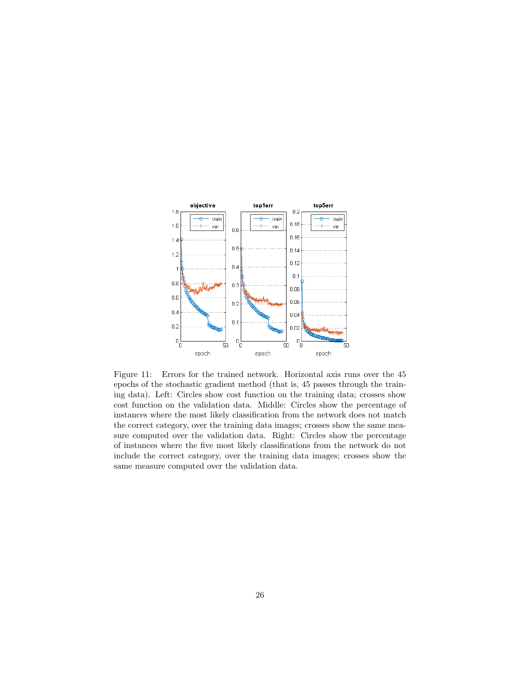

<span id="page-25-0"></span>Figure 11: Errors for the trained network. Horizontal axis runs over the 45 epochs of the stochastic gradient method (that is, 45 passes through the training data). Left: Circles show cost function on the training data; crosses show cost function on the validation data. Middle: Circles show the percentage of instances where the most likely classification from the network does not match the correct category, over the training data images; crosses show the same measure computed over the validation data. Right: Circles show the percentage of instances where the five most likely classifications from the network do not include the correct category, over the training data images; crosses show the same measure computed over the validation data.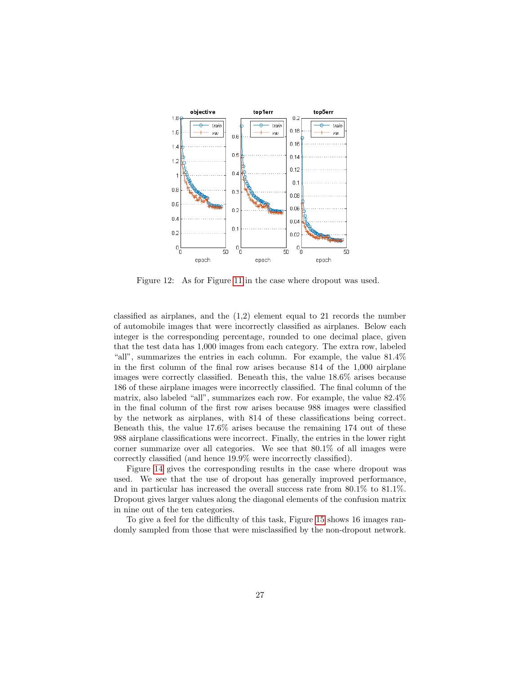

<span id="page-26-0"></span>Figure 12: As for Figure [11](#page-25-0) in the case where dropout was used.

classified as airplanes, and the (1,2) element equal to 21 records the number of automobile images that were incorrectly classified as airplanes. Below each integer is the corresponding percentage, rounded to one decimal place, given that the test data has 1,000 images from each category. The extra row, labeled "all", summarizes the entries in each column. For example, the value 81.4% in the first column of the final row arises because 814 of the 1,000 airplane images were correctly classified. Beneath this, the value 18.6% arises because 186 of these airplane images were incorrectly classified. The final column of the matrix, also labeled "all", summarizes each row. For example, the value 82.4% in the final column of the first row arises because 988 images were classified by the network as airplanes, with 814 of these classifications being correct. Beneath this, the value 17.6% arises because the remaining 174 out of these 988 airplane classifications were incorrect. Finally, the entries in the lower right corner summarize over all categories. We see that 80.1% of all images were correctly classified (and hence 19.9% were incorrectly classified).

Figure [14](#page-28-0) gives the corresponding results in the case where dropout was used. We see that the use of dropout has generally improved performance, and in particular has increased the overall success rate from 80.1% to 81.1%. Dropout gives larger values along the diagonal elements of the confusion matrix in nine out of the ten categories.

To give a feel for the difficulty of this task, Figure [15](#page-29-0) shows 16 images randomly sampled from those that were misclassified by the non-dropout network.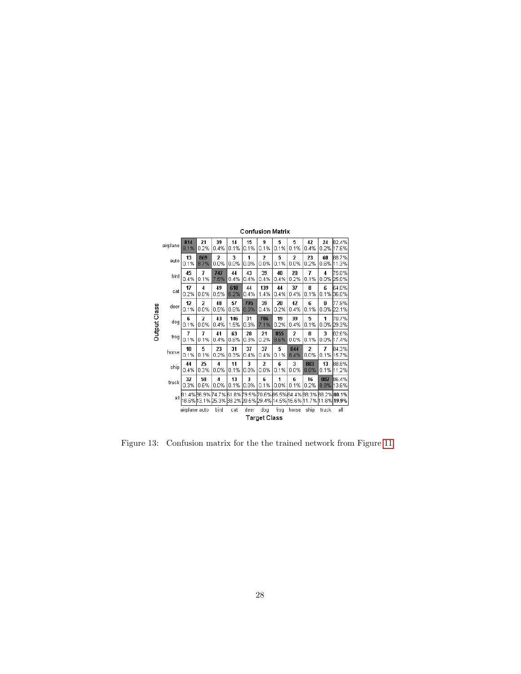|                     |          | <b>Confusion Matrix</b> |             |                                                                  |             |             |                     |             |             |                        |             |                     |
|---------------------|----------|-------------------------|-------------|------------------------------------------------------------------|-------------|-------------|---------------------|-------------|-------------|------------------------|-------------|---------------------|
|                     | airplane | 814<br>8.1%             | 21<br>0.2%  | 39<br>0.4%                                                       | 14<br>0.1%  | 15<br>0.1%  | 9<br>0.1%           | 5<br>0.1%   | 5<br>0.1%   | 42<br>0.4%             | 24<br>0.2%  | 82.4%<br>17.6%      |
| <b>Dutput Class</b> | auto     | 13<br>0.1%              | 869<br>8.7% | 2<br>0.0%                                                        | 3<br>0.0%   | 1<br>0.0%   | 2<br>0.0%           | 5<br>0.1%   | 2<br>0.0%   | 23<br>0.2%             | 60<br>0.6%  | 88.7%<br>11.3%      |
|                     | bird     | 45<br>0.4%              | 7<br>0.1%   | 747<br>7.5%                                                      | 44<br>0.4%  | 43<br>0.4%  | 39<br>0.4%          | 40<br>0.4%  | 20<br>0.2%  | 7<br>0.1%              | 4           | 75.0%<br>0.0% 25.0% |
|                     | cat      | 17<br>0.2%              | 4<br>0.0%   | 49<br>0.5%                                                       | 618<br>6.2% | 44<br>0.4%  | 139<br>1.4%         | 44<br>0.4%  | 37<br>0.4%  | 8<br>0.1%              | 6<br>0.1%   | 64.0%<br>B6.0%      |
|                     | deer     | 12<br>0.1%              | 2<br>0.0%   | 48<br>0.5%                                                       | 57<br>0.6%  | 795<br>8.0% | 39<br>0.4%          | 20<br>0.2%  | 42<br>0.4%  | 6<br>0.1%              | U           | 77.9%<br>0.0% 22.1% |
|                     | dog      | 6<br>0.1%               | 2<br>0.0%   | 43<br>0.4%                                                       | 146<br>1.5% | 31<br>0.3%  | 706<br>7.1%         | 19<br>0.2%  | 39<br>0.4%  | 5<br>0.1%              | 1           | 70.7%<br>0.0% 29.3% |
|                     | frog     | 7<br>0.1%               | 7<br>0.1%   | 41<br>0.4%                                                       | 63<br>0.6%  | 28<br>0.3%  | 21<br>0.2%          | 855<br>8.6% | 2<br>0.0%   | R<br>0.1%              | 3           | 82.6%<br>0.0% 17.4% |
|                     | horse    | 10<br>0.1%              | 5<br>0.1%   | 23<br>0.2%                                                       | 31<br>0.3%  | 37<br>0.4%  | 37<br>0.4%          | 5<br>0.1%   | 844<br>8.4% | $\overline{2}$<br>0.0% | 7           | 84.3%<br>0.1% 15.7% |
|                     | ship     | 44<br>0.4%              | 25<br>0.3%  | 4<br>0.0%                                                        | 11<br>0.1%  | 3<br>0.0%   | 2<br>0.0%           | ĥ<br>0.1%   | 3<br>0.0%   | 883<br>8.8%            | 13<br>0.1%  | 88.8%<br>11.2%      |
|                     | truck    | 32<br>0.3%              | 58<br>0.6%  | 4<br>0.0%                                                        | 13<br>0.1%  | 3<br>0.0%   | ĥ<br>0.1%           | 1<br>0.0%   | 6<br>0.1%   | 16<br>0.2%             | 882<br>8.8% | 86.4%<br>13.6%      |
|                     | all      |                         |             | B1.4%B6.9%74.7%B1.8%79.5%70.6%B5.5%B4.4%B8.3%B8.2% <b>B0.1</b> % |             |             |                     |             |             |                        |             |                     |
|                     |          | airplane auto           |             | bird                                                             | cat         | deer        | dog<br>Target Class | frog        | horse       | ship                   | truck       | all                 |

<span id="page-27-0"></span>Figure 13: Confusion matrix for the the trained network from Figure [11.](#page-25-0)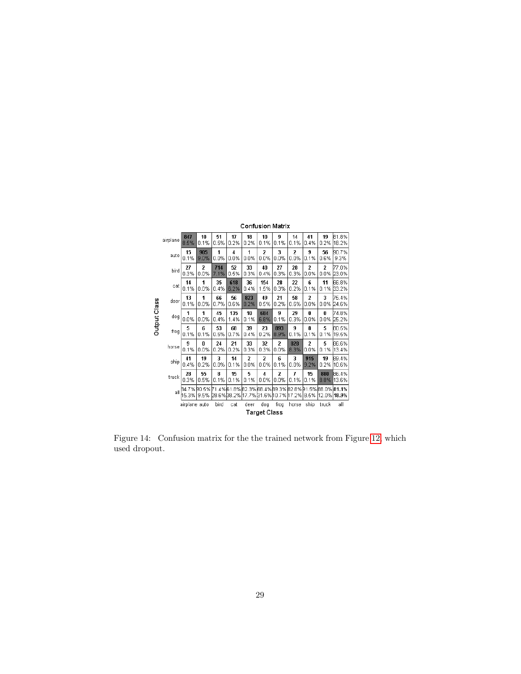

<span id="page-28-0"></span>Figure 14: Confusion matrix for the the trained network from Figure [12,](#page-26-0) which used dropout.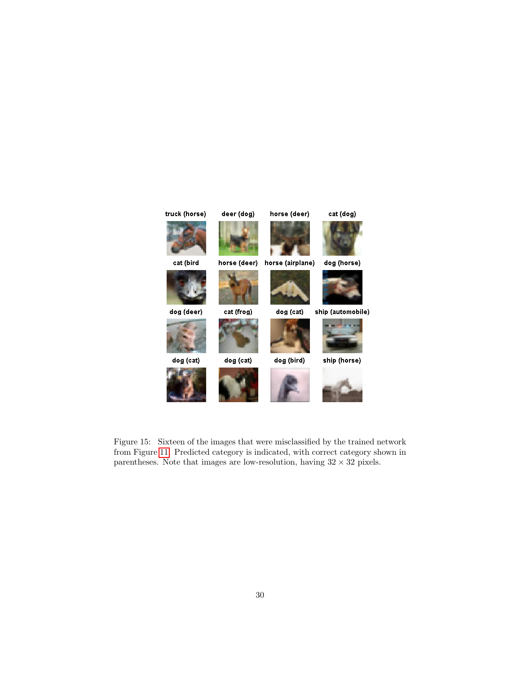<span id="page-29-0"></span>

Figure 15: Sixteen of the images that were misclassified by the trained network from Figure [11.](#page-25-0) Predicted category is indicated, with correct category shown in parentheses. Note that images are low-resolution, having  $32\times32$  pixels.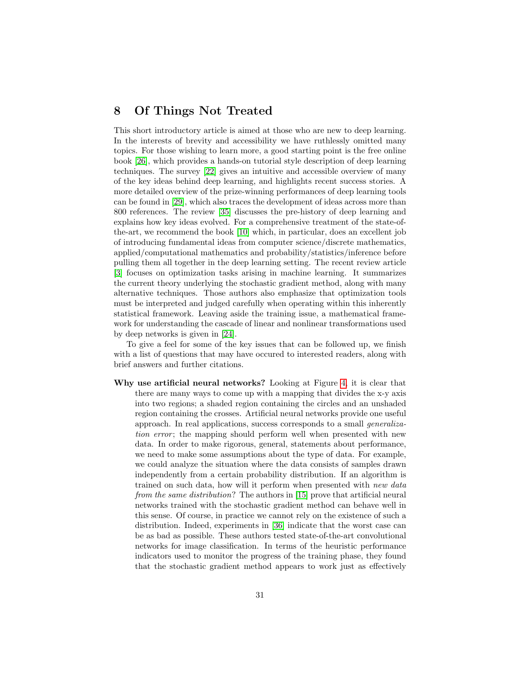#### <span id="page-30-0"></span>8 Of Things Not Treated

This short introductory article is aimed at those who are new to deep learning. In the interests of brevity and accessibility we have ruthlessly omitted many topics. For those wishing to learn more, a good starting point is the free online book [\[26\]](#page-37-2), which provides a hands-on tutorial style description of deep learning techniques. The survey [\[22\]](#page-37-3) gives an intuitive and accessible overview of many of the key ideas behind deep learning, and highlights recent success stories. A more detailed overview of the prize-winning performances of deep learning tools can be found in [\[29\]](#page-37-4), which also traces the development of ideas across more than 800 references. The review [\[35\]](#page-38-1) discusses the pre-history of deep learning and explains how key ideas evolved. For a comprehensive treatment of the state-ofthe-art, we recommend the book [\[10\]](#page-36-0) which, in particular, does an excellent job of introducing fundamental ideas from computer science/discrete mathematics, applied/computational mathematics and probability/statistics/inference before pulling them all together in the deep learning setting. The recent review article [\[3\]](#page-36-1) focuses on optimization tasks arising in machine learning. It summarizes the current theory underlying the stochastic gradient method, along with many alternative techniques. Those authors also emphasize that optimization tools must be interpreted and judged carefully when operating within this inherently statistical framework. Leaving aside the training issue, a mathematical framework for understanding the cascade of linear and nonlinear transformations used by deep networks is given in [\[24\]](#page-37-5).

To give a feel for some of the key issues that can be followed up, we finish with a list of questions that may have occured to interested readers, along with brief answers and further citations.

Why use artificial neural networks? Looking at Figure [4,](#page-5-1) it is clear that there are many ways to come up with a mapping that divides the x-y axis into two regions; a shaded region containing the circles and an unshaded region containing the crosses. Artificial neural networks provide one useful approach. In real applications, success corresponds to a small generalization error; the mapping should perform well when presented with new data. In order to make rigorous, general, statements about performance, we need to make some assumptions about the type of data. For example, we could analyze the situation where the data consists of samples drawn independently from a certain probability distribution. If an algorithm is trained on such data, how will it perform when presented with new data from the same distribution? The authors in [\[15\]](#page-36-2) prove that artificial neural networks trained with the stochastic gradient method can behave well in this sense. Of course, in practice we cannot rely on the existence of such a distribution. Indeed, experiments in [\[36\]](#page-38-2) indicate that the worst case can be as bad as possible. These authors tested state-of-the-art convolutional networks for image classification. In terms of the heuristic performance indicators used to monitor the progress of the training phase, they found that the stochastic gradient method appears to work just as effectively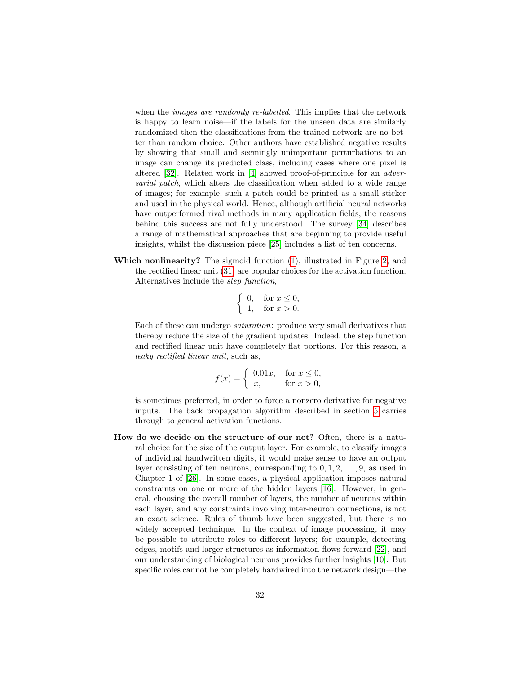when the *images are randomly re-labelled*. This implies that the network is happy to learn noise—if the labels for the unseen data are similarly randomized then the classifications from the trained network are no better than random choice. Other authors have established negative results by showing that small and seemingly unimportant perturbations to an image can change its predicted class, including cases where one pixel is altered [\[32\]](#page-38-3). Related work in [\[4\]](#page-36-3) showed proof-of-principle for an adversarial patch, which alters the classification when added to a wide range of images; for example, such a patch could be printed as a small sticker and used in the physical world. Hence, although artificial neural networks have outperformed rival methods in many application fields, the reasons behind this success are not fully understood. The survey [\[34\]](#page-38-4) describes a range of mathematical approaches that are beginning to provide useful insights, whilst the discussion piece [\[25\]](#page-37-6) includes a list of ten concerns.

Which nonlinearity? The sigmoid function  $(1)$ , illustrated in Figure [2,](#page-3-0) and the rectified linear unit [\(31\)](#page-21-0) are popular choices for the activation function. Alternatives include the step function,

$$
\begin{cases} 0, & \text{for } x \le 0, \\ 1, & \text{for } x > 0. \end{cases}
$$

Each of these can undergo saturation: produce very small derivatives that thereby reduce the size of the gradient updates. Indeed, the step function and rectified linear unit have completely flat portions. For this reason, a leaky rectified linear unit, such as,

$$
f(x) = \begin{cases} 0.01x, & \text{for } x \le 0, \\ x, & \text{for } x > 0, \end{cases}
$$

is sometimes preferred, in order to force a nonzero derivative for negative inputs. The back propagation algorithm described in section [5](#page-10-0) carries through to general activation functions.

How do we decide on the structure of our net? Often, there is a natural choice for the size of the output layer. For example, to classify images of individual handwritten digits, it would make sense to have an output layer consisting of ten neurons, corresponding to  $0, 1, 2, \ldots, 9$ , as used in Chapter 1 of [\[26\]](#page-37-2). In some cases, a physical application imposes natural constraints on one or more of the hidden layers [\[16\]](#page-36-4). However, in general, choosing the overall number of layers, the number of neurons within each layer, and any constraints involving inter-neuron connections, is not an exact science. Rules of thumb have been suggested, but there is no widely accepted technique. In the context of image processing, it may be possible to attribute roles to different layers; for example, detecting edges, motifs and larger structures as information flows forward [\[22\]](#page-37-3), and our understanding of biological neurons provides further insights [\[10\]](#page-36-0). But specific roles cannot be completely hardwired into the network design—the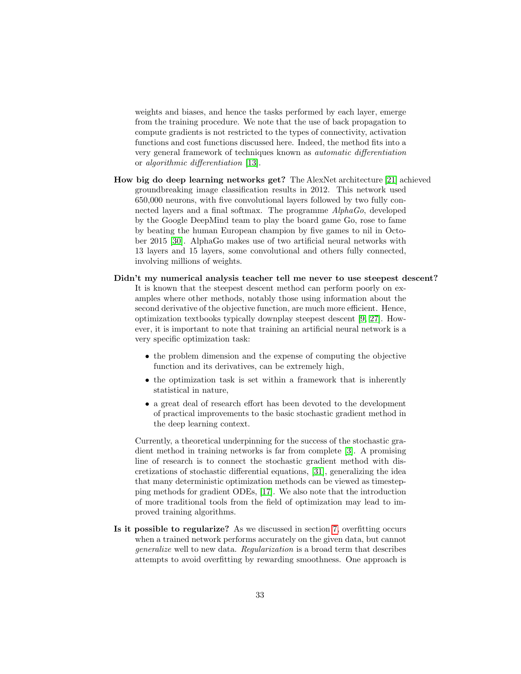weights and biases, and hence the tasks performed by each layer, emerge from the training procedure. We note that the use of back propagation to compute gradients is not restricted to the types of connectivity, activation functions and cost functions discussed here. Indeed, the method fits into a very general framework of techniques known as automatic differentiation or algorithmic differentiation [\[13\]](#page-36-5).

- How big do deep learning networks get? The AlexNet architecture [\[21\]](#page-37-7) achieved groundbreaking image classification results in 2012. This network used 650,000 neurons, with five convolutional layers followed by two fully connected layers and a final softmax. The programme AlphaGo, developed by the Google DeepMind team to play the board game Go, rose to fame by beating the human European champion by five games to nil in October 2015 [\[30\]](#page-37-8). AlphaGo makes use of two artificial neural networks with 13 layers and 15 layers, some convolutional and others fully connected, involving millions of weights.
- Didn't my numerical analysis teacher tell me never to use steepest descent? It is known that the steepest descent method can perform poorly on examples where other methods, notably those using information about the second derivative of the objective function, are much more efficient. Hence, optimization textbooks typically downplay steepest descent [\[9,](#page-36-6) [27\]](#page-37-9). However, it is important to note that training an artificial neural network is a very specific optimization task:
	- the problem dimension and the expense of computing the objective function and its derivatives, can be extremely high,
	- the optimization task is set within a framework that is inherently statistical in nature,
	- a great deal of research effort has been devoted to the development of practical improvements to the basic stochastic gradient method in the deep learning context.

Currently, a theoretical underpinning for the success of the stochastic gradient method in training networks is far from complete [\[3\]](#page-36-1). A promising line of research is to connect the stochastic gradient method with discretizations of stochastic differential equations, [\[31\]](#page-38-5), generalizing the idea that many deterministic optimization methods can be viewed as timestepping methods for gradient ODEs, [\[17\]](#page-37-10). We also note that the introduction of more traditional tools from the field of optimization may lead to improved training algorithms.

Is it possible to regularize? As we discussed in section [7,](#page-19-0) overfitting occurs when a trained network performs accurately on the given data, but cannot generalize well to new data. Regularization is a broad term that describes attempts to avoid overfitting by rewarding smoothness. One approach is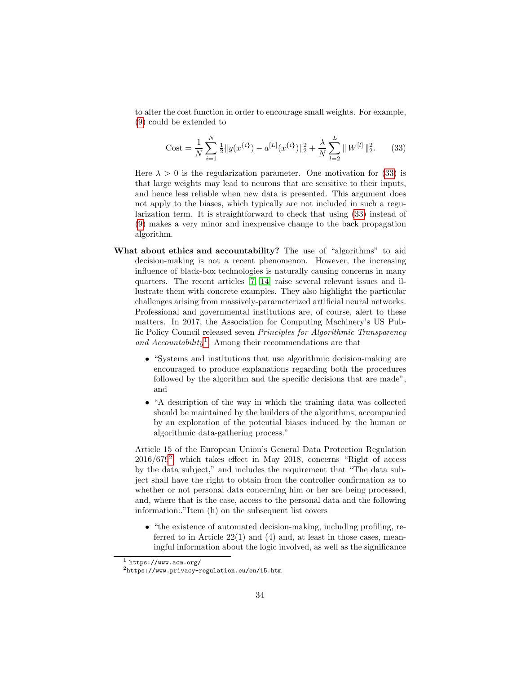to alter the cost function in order to encourage small weights. For example, [\(9\)](#page-7-2) could be extended to

<span id="page-33-0"></span>Cost = 
$$
\frac{1}{N} \sum_{i=1}^{N} \frac{1}{2} ||y(x^{\{i\}}) - a^{[L]}(x^{\{i\}})||_2^2 + \frac{\lambda}{N} \sum_{l=2}^{L} ||W^{[l]}||_2^2.
$$
 (33)

Here  $\lambda > 0$  is the regularization parameter. One motivation for [\(33\)](#page-33-0) is that large weights may lead to neurons that are sensitive to their inputs, and hence less reliable when new data is presented. This argument does not apply to the biases, which typically are not included in such a regularization term. It is straightforward to check that using [\(33\)](#page-33-0) instead of [\(9\)](#page-7-2) makes a very minor and inexpensive change to the back propagation algorithm.

- What about ethics and accountability? The use of "algorithms" to aid decision-making is not a recent phenomenon. However, the increasing influence of black-box technologies is naturally causing concerns in many quarters. The recent articles [\[7,](#page-36-7) [14\]](#page-36-8) raise several relevant issues and illustrate them with concrete examples. They also highlight the particular challenges arising from massively-parameterized artificial neural networks. Professional and governmental institutions are, of course, alert to these matters. In 2017, the Association for Computing Machinery's US Public Policy Council released seven Principles for Algorithmic Transparency and  $Accountability<sup>1</sup>$  $Accountability<sup>1</sup>$  $Accountability<sup>1</sup>$ . Among their recommendations are that
	- "Systems and institutions that use algorithmic decision-making are encouraged to produce explanations regarding both the procedures followed by the algorithm and the specific decisions that are made", and
	- "A description of the way in which the training data was collected should be maintained by the builders of the algorithms, accompanied by an exploration of the potential biases induced by the human or algorithmic data-gathering process."

Article 15 of the European Union's General Data Protection Regulation 2016/679[2](#page-33-2) , which takes effect in May 2018, concerns "Right of access by the data subject," and includes the requirement that "The data subject shall have the right to obtain from the controller confirmation as to whether or not personal data concerning him or her are being processed, and, where that is the case, access to the personal data and the following information:."Item (h) on the subsequent list covers

• "the existence of automated decision-making, including profiling, referred to in Article 22(1) and (4) and, at least in those cases, meaningful information about the logic involved, as well as the significance

<span id="page-33-1"></span> $<sup>1</sup>$  https://www.acm.org/</sup>

<span id="page-33-2"></span><sup>2</sup>https://www.privacy-regulation.eu/en/15.htm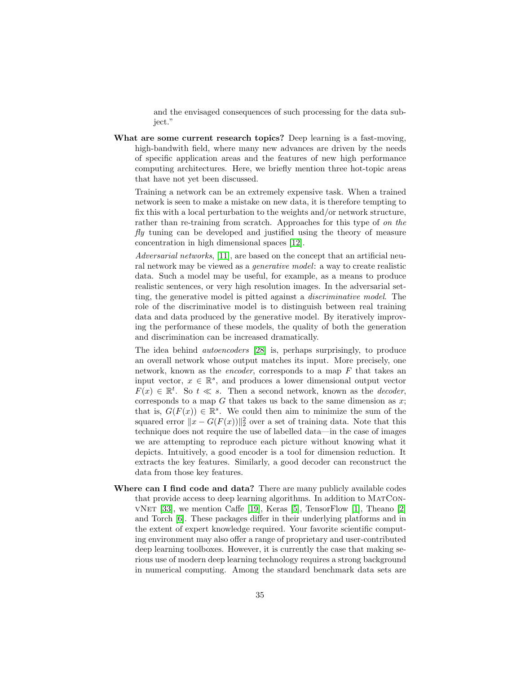and the envisaged consequences of such processing for the data subject."

What are some current research topics? Deep learning is a fast-moving, high-bandwith field, where many new advances are driven by the needs of specific application areas and the features of new high performance computing architectures. Here, we briefly mention three hot-topic areas that have not yet been discussed.

Training a network can be an extremely expensive task. When a trained network is seen to make a mistake on new data, it is therefore tempting to fix this with a local perturbation to the weights and/or network structure, rather than re-training from scratch. Approaches for this type of on the  $fly$  tuning can be developed and justified using the theory of measure concentration in high dimensional spaces [\[12\]](#page-36-9).

Adversarial networks, [\[11\]](#page-36-10), are based on the concept that an artificial neural network may be viewed as a generative model: a way to create realistic data. Such a model may be useful, for example, as a means to produce realistic sentences, or very high resolution images. In the adversarial setting, the generative model is pitted against a discriminative model. The role of the discriminative model is to distinguish between real training data and data produced by the generative model. By iteratively improving the performance of these models, the quality of both the generation and discrimination can be increased dramatically.

The idea behind autoencoders [\[28\]](#page-37-11) is, perhaps surprisingly, to produce an overall network whose output matches its input. More precisely, one network, known as the *encoder*, corresponds to a map  $F$  that takes an input vector,  $x \in \mathbb{R}^s$ , and produces a lower dimensional output vector  $F(x) \in \mathbb{R}^t$ . So  $t \ll s$ . Then a second network, known as the *decoder*, corresponds to a map  $G$  that takes us back to the same dimension as  $x$ ; that is,  $G(F(x)) \in \mathbb{R}^s$ . We could then aim to minimize the sum of the squared error  $||x - G(F(x))||_2^2$  over a set of training data. Note that this technique does not require the use of labelled data—in the case of images we are attempting to reproduce each picture without knowing what it depicts. Intuitively, a good encoder is a tool for dimension reduction. It extracts the key features. Similarly, a good decoder can reconstruct the data from those key features.

Where can I find code and data? There are many publicly available codes that provide access to deep learning algorithms. In addition to MatConvNet [\[33\]](#page-38-0), we mention Caffe [\[19\]](#page-37-12), Keras [\[5\]](#page-36-11), TensorFlow [\[1\]](#page-35-0), Theano [\[2\]](#page-35-1) and Torch [\[6\]](#page-36-12). These packages differ in their underlying platforms and in the extent of expert knowledge required. Your favorite scientific computing environment may also offer a range of proprietary and user-contributed deep learning toolboxes. However, it is currently the case that making serious use of modern deep learning technology requires a strong background in numerical computing. Among the standard benchmark data sets are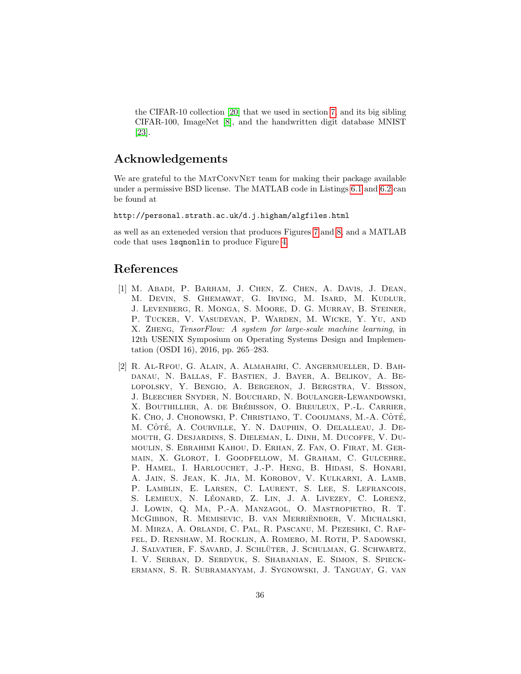the CIFAR-10 collection [\[20\]](#page-37-1) that we used in section [7,](#page-19-0) and its big sibling CIFAR-100, ImageNet [\[8\]](#page-36-13), and the handwritten digit database MNIST [\[23\]](#page-37-13).

# Acknowledgements

We are grateful to the MATCONVNET team for making their package available under a permissive BSD license. The MATLAB code in Listings [6.1](#page-16-0) and [6.2](#page-17-0) can be found at

http://personal.strath.ac.uk/d.j.higham/algfiles.html

as well as an exteneded version that produces Figures [7](#page-17-1) and [8,](#page-18-0) and a MATLAB code that uses lsqnonlin to produce Figure [4.](#page-5-1)

#### References

- <span id="page-35-0"></span>[1] M. Abadi, P. Barham, J. Chen, Z. Chen, A. Davis, J. Dean, M. Devin, S. Ghemawat, G. Irving, M. Isard, M. Kudlur, J. Levenberg, R. Monga, S. Moore, D. G. Murray, B. Steiner, P. Tucker, V. Vasudevan, P. Warden, M. Wicke, Y. Yu, and X. Zheng, TensorFlow: A system for large-scale machine learning, in 12th USENIX Symposium on Operating Systems Design and Implementation (OSDI 16), 2016, pp. 265–283.
- <span id="page-35-1"></span>[2] R. Al-Rfou, G. Alain, A. Almahairi, C. Angermueller, D. Bahdanau, N. Ballas, F. Bastien, J. Bayer, A. Belikov, A. Belopolsky, Y. Bengio, A. Bergeron, J. Bergstra, V. Bisson, J. Bleecher Snyder, N. Bouchard, N. Boulanger-Lewandowski, X. BOUTHILLIER, A. DE BRÉBISSON, O. BREULEUX, P.-L. CARRIER, K. Cho, J. Chorowski, P. Christiano, T. Coolimans, M.-A. Côté, M. CÔTÉ, A. COURVILLE, Y. N. DAUPHIN, O. DELALLEAU, J. DEmouth, G. Desjardins, S. Dieleman, L. Dinh, M. Ducoffe, V. Dumoulin, S. Ebrahimi Kahou, D. Erhan, Z. Fan, O. Firat, M. Germain, X. Glorot, I. Goodfellow, M. Graham, C. Gulcehre, P. Hamel, I. Harlouchet, J.-P. Heng, B. Hidasi, S. Honari, A. Jain, S. Jean, K. Jia, M. Korobov, V. Kulkarni, A. Lamb, P. LAMBLIN, E. LARSEN, C. LAURENT, S. LEE, S. LEFRANCOIS, S. LEMIEUX, N. LÉONARD, Z. LIN, J. A. LIVEZEY, C. LORENZ, J. Lowin, Q. Ma, P.-A. Manzagol, O. Mastropietro, R. T. McGibbon, R. Memisevic, B. van Merrienboer, V. Michalski, ¨ M. Mirza, A. Orlandi, C. Pal, R. Pascanu, M. Pezeshki, C. Raffel, D. Renshaw, M. Rocklin, A. Romero, M. Roth, P. Sadowski, J. SALVATIER, F. SAVARD, J. SCHLÜTER, J. SCHULMAN, G. SCHWARTZ, I. V. Serban, D. Serdyuk, S. Shabanian, E. Simon, S. Spieckermann, S. R. Subramanyam, J. Sygnowski, J. Tanguay, G. van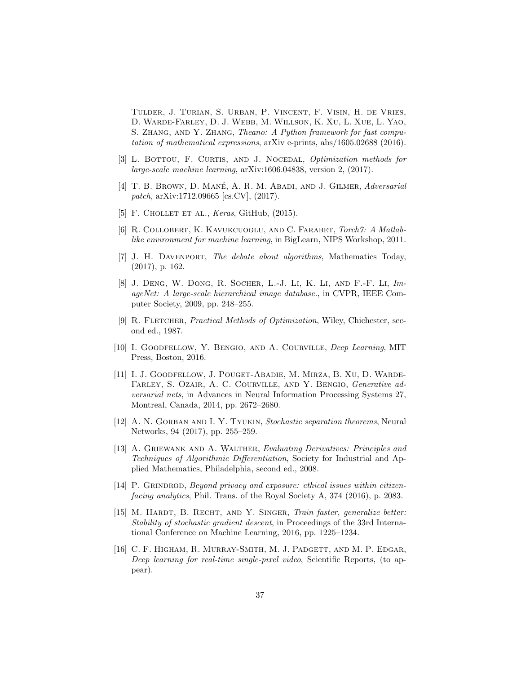Tulder, J. Turian, S. Urban, P. Vincent, F. Visin, H. de Vries, D. Warde-Farley, D. J. Webb, M. Willson, K. Xu, L. Xue, L. Yao, S. Zhang, and Y. Zhang, Theano: A Python framework for fast computation of mathematical expressions, arXiv e-prints, abs/1605.02688 (2016).

- <span id="page-36-1"></span>[3] L. BOTTOU, F. CURTIS, AND J. NOCEDAL, Optimization methods for large-scale machine learning, arXiv:1606.04838, version 2, (2017).
- <span id="page-36-3"></span>[4] T. B. BROWN, D. MANÉ, A. R. M. ABADI, AND J. GILMER, Adversarial patch, arXiv:1712.09665 [cs.CV], (2017).
- <span id="page-36-11"></span>[5] F. CHOLLET ET AL.,  $Keras$ , GitHub, (2015).
- <span id="page-36-12"></span>[6] R. Collobert, K. Kavukcuoglu, and C. Farabet, Torch7: A Matlablike environment for machine learning, in BigLearn, NIPS Workshop, 2011.
- <span id="page-36-7"></span>[7] J. H. DAVENPORT, The debate about algorithms, Mathematics Today, (2017), p. 162.
- <span id="page-36-13"></span>[8] J. Deng, W. Dong, R. Socher, L.-J. Li, K. Li, and F.-F. Li, ImageNet: A large-scale hierarchical image database., in CVPR, IEEE Computer Society, 2009, pp. 248–255.
- <span id="page-36-6"></span>[9] R. FLETCHER, *Practical Methods of Optimization*, Wiley, Chichester, second ed., 1987.
- <span id="page-36-0"></span>[10] I. Goodfellow, Y. Bengio, and A. Courville, Deep Learning, MIT Press, Boston, 2016.
- <span id="page-36-10"></span>[11] I. J. GOODFELLOW, J. POUGET-ABADIE, M. MIRZA, B. XU, D. WARDE-Farley, S. Ozair, A. C. Courville, and Y. Bengio, Generative adversarial nets, in Advances in Neural Information Processing Systems 27, Montreal, Canada, 2014, pp. 2672–2680.
- <span id="page-36-9"></span>[12] A. N. GORBAN AND I. Y. TYUKIN, Stochastic separation theorems, Neural Networks, 94 (2017), pp. 255–259.
- <span id="page-36-5"></span>[13] A. GRIEWANK AND A. WALTHER, Evaluating Derivatives: Principles and Techniques of Algorithmic Differentiation, Society for Industrial and Applied Mathematics, Philadelphia, second ed., 2008.
- <span id="page-36-8"></span>[14] P. GRINDROD, Beyond privacy and exposure: ethical issues within citizenfacing analytics, Phil. Trans. of the Royal Society A, 374 (2016), p. 2083.
- <span id="page-36-2"></span>[15] M. HARDT, B. RECHT, AND Y. SINGER, Train faster, generalize better: Stability of stochastic gradient descent, in Proceedings of the 33rd International Conference on Machine Learning, 2016, pp. 1225–1234.
- <span id="page-36-4"></span>[16] C. F. HIGHAM, R. MURRAY-SMITH, M. J. PADGETT, AND M. P. EDGAR, Deep learning for real-time single-pixel video, Scientific Reports, (to appear).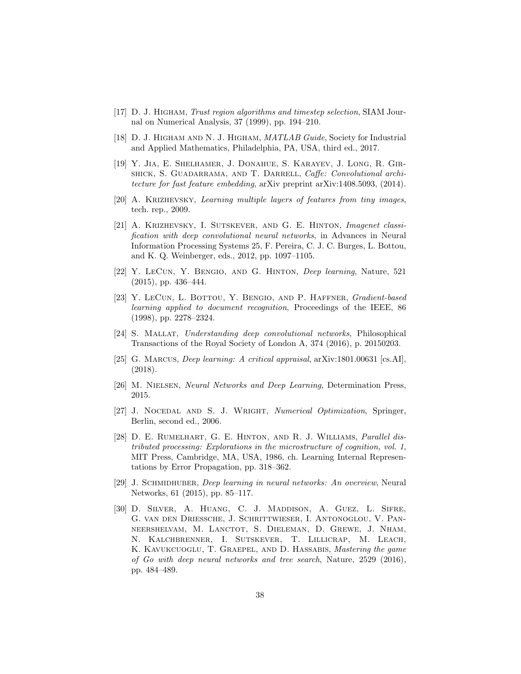- <span id="page-37-10"></span>[17] D. J. Higham, Trust region algorithms and timestep selection, SIAM Journal on Numerical Analysis, 37 (1999), pp. 194–210.
- <span id="page-37-0"></span>[18] D. J. HIGHAM AND N. J. HIGHAM, MATLAB Guide, Society for Industrial and Applied Mathematics, Philadelphia, PA, USA, third ed., 2017.
- <span id="page-37-12"></span>[19] Y. Jia, E. Shelhamer, J. Donahue, S. Karayev, J. Long, R. Girshick, S. Guadarrama, and T. Darrell, Caffe: Convolutional architecture for fast feature embedding, arXiv preprint arXiv:1408.5093, (2014).
- <span id="page-37-1"></span>[20] A. Krizhevsky, Learning multiple layers of features from tiny images, tech. rep., 2009.
- <span id="page-37-7"></span>[21] A. KRIZHEVSKY, I. SUTSKEVER, AND G. E. HINTON, Imagenet classification with deep convolutional neural networks, in Advances in Neural Information Processing Systems 25, F. Pereira, C. J. C. Burges, L. Bottou, and K. Q. Weinberger, eds., 2012, pp. 1097–1105.
- <span id="page-37-3"></span>[22] Y. LeCun, Y. Bengio, and G. Hinton, Deep learning, Nature, 521 (2015), pp. 436–444.
- <span id="page-37-13"></span>[23] Y. LECUN, L. BOTTOU, Y. BENGIO, AND P. HAFFNER, Gradient-based learning applied to document recognition, Proceedings of the IEEE, 86 (1998), pp. 2278–2324.
- <span id="page-37-5"></span>[24] S. Mallat, Understanding deep convolutional networks, Philosophical Transactions of the Royal Society of London A, 374 (2016), p. 20150203.
- <span id="page-37-6"></span>[25] G. Marcus, Deep learning: A critical appraisal, arXiv:1801.00631 [cs.AI], (2018).
- <span id="page-37-2"></span>[26] M. Nielsen, Neural Networks and Deep Learning, Determination Press, 2015.
- <span id="page-37-9"></span>[27] J. NOCEDAL AND S. J. WRIGHT, Numerical Optimization, Springer, Berlin, second ed., 2006.
- <span id="page-37-11"></span>[28] D. E. Rumelhart, G. E. Hinton, and R. J. Williams, Parallel distributed processing: Explorations in the microstructure of cognition, vol. 1, MIT Press, Cambridge, MA, USA, 1986, ch. Learning Internal Representations by Error Propagation, pp. 318–362.
- <span id="page-37-4"></span>[29] J. Schmidhuber, Deep learning in neural networks: An overview, Neural Networks, 61 (2015), pp. 85–117.
- <span id="page-37-8"></span>[30] D. Silver, A. Huang, C. J. Maddison, A. Guez, L. Sifre, G. van den Driessche, J. Schrittwieser, I. Antonoglou, V. Panneershelvam, M. Lanctot, S. Dieleman, D. Grewe, J. Nham, N. Kalchbrenner, I. Sutskever, T. Lillicrap, M. Leach, K. KAVUKCUOGLU, T. GRAEPEL, AND D. HASSABIS, Mastering the game of Go with deep neural networks and tree search, Nature, 2529 (2016), pp. 484–489.